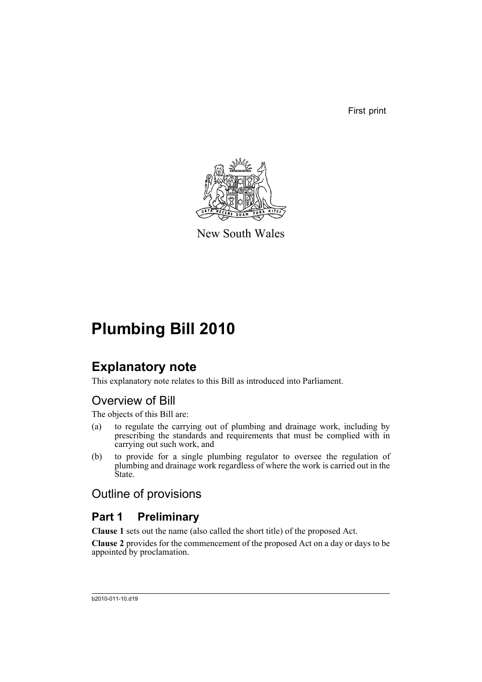First print



New South Wales

## **Plumbing Bill 2010**

## **Explanatory note**

This explanatory note relates to this Bill as introduced into Parliament.

## Overview of Bill

The objects of this Bill are:

- (a) to regulate the carrying out of plumbing and drainage work, including by prescribing the standards and requirements that must be complied with in carrying out such work, and
- (b) to provide for a single plumbing regulator to oversee the regulation of plumbing and drainage work regardless of where the work is carried out in the State.

### Outline of provisions

## **Part 1 Preliminary**

**Clause 1** sets out the name (also called the short title) of the proposed Act.

**Clause 2** provides for the commencement of the proposed Act on a day or days to be appointed by proclamation.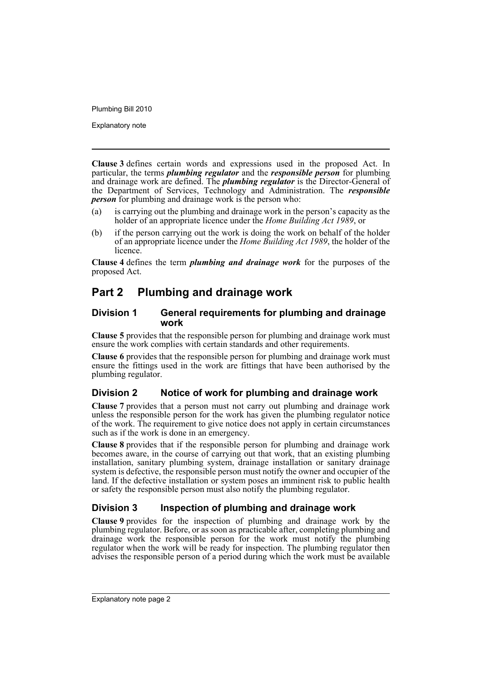Explanatory note

**Clause 3** defines certain words and expressions used in the proposed Act. In particular, the terms *plumbing regulator* and the *responsible person* for plumbing and drainage work are defined. The *plumbing regulator* is the Director-General of the Department of Services, Technology and Administration. The *responsible person* for plumbing and drainage work is the person who:

- (a) is carrying out the plumbing and drainage work in the person's capacity as the holder of an appropriate licence under the *Home Building Act 1989*, or
- (b) if the person carrying out the work is doing the work on behalf of the holder of an appropriate licence under the *Home Building Act 1989*, the holder of the licence.

**Clause 4** defines the term *plumbing and drainage work* for the purposes of the proposed Act.

### **Part 2 Plumbing and drainage work**

#### **Division 1 General requirements for plumbing and drainage work**

**Clause 5** provides that the responsible person for plumbing and drainage work must ensure the work complies with certain standards and other requirements.

**Clause 6** provides that the responsible person for plumbing and drainage work must ensure the fittings used in the work are fittings that have been authorised by the plumbing regulator.

### **Division 2 Notice of work for plumbing and drainage work**

**Clause 7** provides that a person must not carry out plumbing and drainage work unless the responsible person for the work has given the plumbing regulator notice of the work. The requirement to give notice does not apply in certain circumstances such as if the work is done in an emergency.

**Clause 8** provides that if the responsible person for plumbing and drainage work becomes aware, in the course of carrying out that work, that an existing plumbing installation, sanitary plumbing system, drainage installation or sanitary drainage system is defective, the responsible person must notify the owner and occupier of the land. If the defective installation or system poses an imminent risk to public health or safety the responsible person must also notify the plumbing regulator.

### **Division 3 Inspection of plumbing and drainage work**

**Clause 9** provides for the inspection of plumbing and drainage work by the plumbing regulator. Before, or as soon as practicable after, completing plumbing and drainage work the responsible person for the work must notify the plumbing regulator when the work will be ready for inspection. The plumbing regulator then advises the responsible person of a period during which the work must be available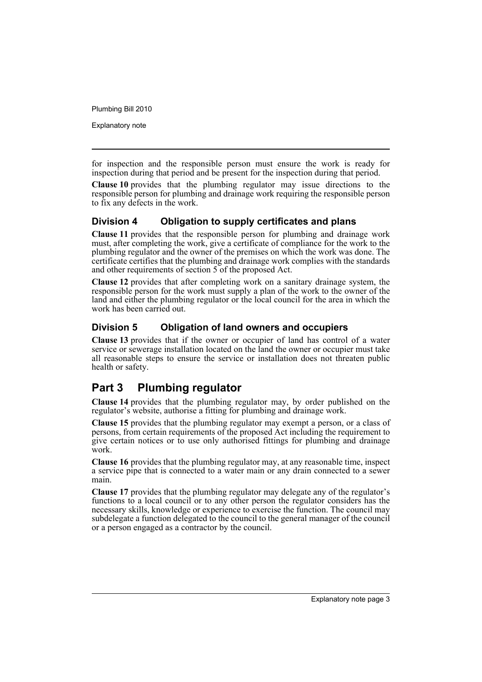Explanatory note

for inspection and the responsible person must ensure the work is ready for inspection during that period and be present for the inspection during that period.

**Clause 10** provides that the plumbing regulator may issue directions to the responsible person for plumbing and drainage work requiring the responsible person to fix any defects in the work.

#### **Division 4 Obligation to supply certificates and plans**

**Clause 11** provides that the responsible person for plumbing and drainage work must, after completing the work, give a certificate of compliance for the work to the plumbing regulator and the owner of the premises on which the work was done. The certificate certifies that the plumbing and drainage work complies with the standards and other requirements of section 5 of the proposed Act.

**Clause 12** provides that after completing work on a sanitary drainage system, the responsible person for the work must supply a plan of the work to the owner of the land and either the plumbing regulator or the local council for the area in which the work has been carried out.

### **Division 5 Obligation of land owners and occupiers**

**Clause 13** provides that if the owner or occupier of land has control of a water service or sewerage installation located on the land the owner or occupier must take all reasonable steps to ensure the service or installation does not threaten public health or safety.

### **Part 3 Plumbing regulator**

**Clause 14** provides that the plumbing regulator may, by order published on the regulator's website, authorise a fitting for plumbing and drainage work.

**Clause 15** provides that the plumbing regulator may exempt a person, or a class of persons, from certain requirements of the proposed Act including the requirement to give certain notices or to use only authorised fittings for plumbing and drainage work.

**Clause 16** provides that the plumbing regulator may, at any reasonable time, inspect a service pipe that is connected to a water main or any drain connected to a sewer main.

**Clause 17** provides that the plumbing regulator may delegate any of the regulator's functions to a local council or to any other person the regulator considers has the necessary skills, knowledge or experience to exercise the function. The council may subdelegate a function delegated to the council to the general manager of the council or a person engaged as a contractor by the council.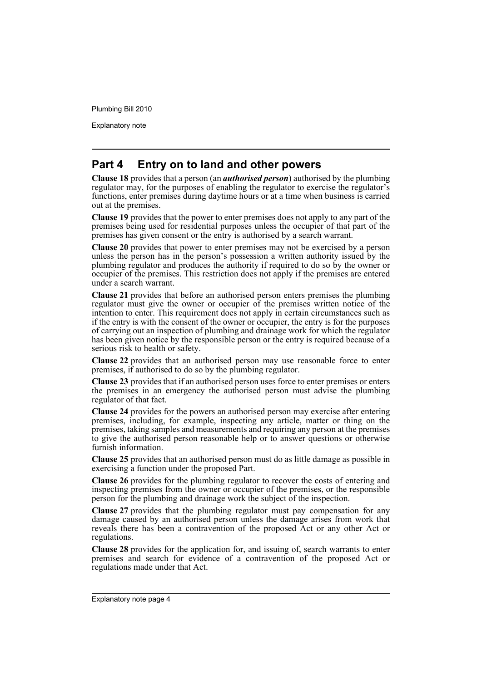Explanatory note

### **Part 4 Entry on to land and other powers**

**Clause 18** provides that a person (an *authorised person*) authorised by the plumbing regulator may, for the purposes of enabling the regulator to exercise the regulator's functions, enter premises during daytime hours or at a time when business is carried out at the premises.

**Clause 19** provides that the power to enter premises does not apply to any part of the premises being used for residential purposes unless the occupier of that part of the premises has given consent or the entry is authorised by a search warrant.

**Clause 20** provides that power to enter premises may not be exercised by a person unless the person has in the person's possession a written authority issued by the plumbing regulator and produces the authority if required to do so by the owner or occupier of the premises. This restriction does not apply if the premises are entered under a search warrant.

**Clause 21** provides that before an authorised person enters premises the plumbing regulator must give the owner or occupier of the premises written notice of the intention to enter. This requirement does not apply in certain circumstances such as if the entry is with the consent of the owner or occupier, the entry is for the purposes of carrying out an inspection of plumbing and drainage work for which the regulator has been given notice by the responsible person or the entry is required because of a serious risk to health or safety.

**Clause 22** provides that an authorised person may use reasonable force to enter premises, if authorised to do so by the plumbing regulator.

**Clause 23** provides that if an authorised person uses force to enter premises or enters the premises in an emergency the authorised person must advise the plumbing regulator of that fact.

**Clause 24** provides for the powers an authorised person may exercise after entering premises, including, for example, inspecting any article, matter or thing on the premises, taking samples and measurements and requiring any person at the premises to give the authorised person reasonable help or to answer questions or otherwise furnish information.

**Clause 25** provides that an authorised person must do as little damage as possible in exercising a function under the proposed Part.

**Clause 26** provides for the plumbing regulator to recover the costs of entering and inspecting premises from the owner or occupier of the premises, or the responsible person for the plumbing and drainage work the subject of the inspection.

**Clause 27** provides that the plumbing regulator must pay compensation for any damage caused by an authorised person unless the damage arises from work that reveals there has been a contravention of the proposed Act or any other Act or regulations.

**Clause 28** provides for the application for, and issuing of, search warrants to enter premises and search for evidence of a contravention of the proposed Act or regulations made under that Act.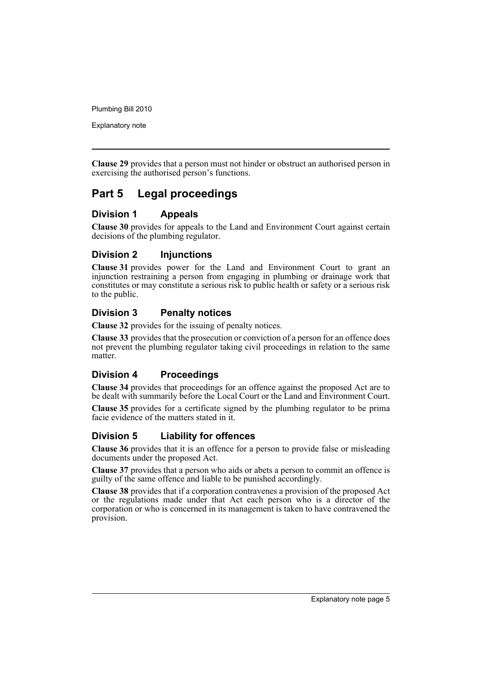Explanatory note

**Clause 29** provides that a person must not hinder or obstruct an authorised person in exercising the authorised person's functions.

### **Part 5 Legal proceedings**

#### **Division 1 Appeals**

**Clause 30** provides for appeals to the Land and Environment Court against certain decisions of the plumbing regulator.

### **Division 2 Injunctions**

**Clause 31** provides power for the Land and Environment Court to grant an injunction restraining a person from engaging in plumbing or drainage work that constitutes or may constitute a serious risk to public health or safety or a serious risk to the public.

#### **Division 3 Penalty notices**

**Clause 32** provides for the issuing of penalty notices.

**Clause 33** provides that the prosecution or conviction of a person for an offence does not prevent the plumbing regulator taking civil proceedings in relation to the same matter.

#### **Division 4 Proceedings**

**Clause 34** provides that proceedings for an offence against the proposed Act are to be dealt with summarily before the Local Court or the Land and Environment Court.

**Clause 35** provides for a certificate signed by the plumbing regulator to be prima facie evidence of the matters stated in it.

### **Division 5 Liability for offences**

**Clause 36** provides that it is an offence for a person to provide false or misleading documents under the proposed Act.

**Clause 37** provides that a person who aids or abets a person to commit an offence is guilty of the same offence and liable to be punished accordingly.

**Clause 38** provides that if a corporation contravenes a provision of the proposed Act or the regulations made under that Act each person who is a director of the corporation or who is concerned in its management is taken to have contravened the provision.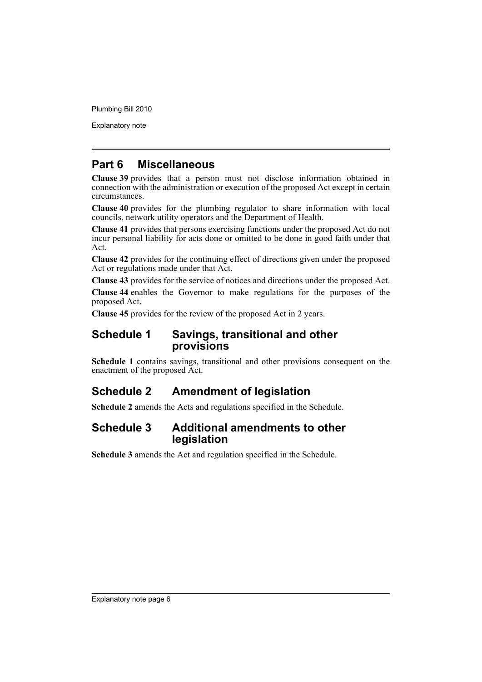Explanatory note

### **Part 6 Miscellaneous**

**Clause 39** provides that a person must not disclose information obtained in connection with the administration or execution of the proposed Act except in certain circumstances.

**Clause 40** provides for the plumbing regulator to share information with local councils, network utility operators and the Department of Health.

**Clause 41** provides that persons exercising functions under the proposed Act do not incur personal liability for acts done or omitted to be done in good faith under that Act.

**Clause 42** provides for the continuing effect of directions given under the proposed Act or regulations made under that Act.

**Clause 43** provides for the service of notices and directions under the proposed Act.

**Clause 44** enables the Governor to make regulations for the purposes of the proposed Act.

**Clause 45** provides for the review of the proposed Act in 2 years.

### **Schedule 1 Savings, transitional and other provisions**

**Schedule 1** contains savings, transitional and other provisions consequent on the enactment of the proposed Act.

### **Schedule 2 Amendment of legislation**

**Schedule 2** amends the Acts and regulations specified in the Schedule.

### **Schedule 3 Additional amendments to other legislation**

**Schedule 3** amends the Act and regulation specified in the Schedule.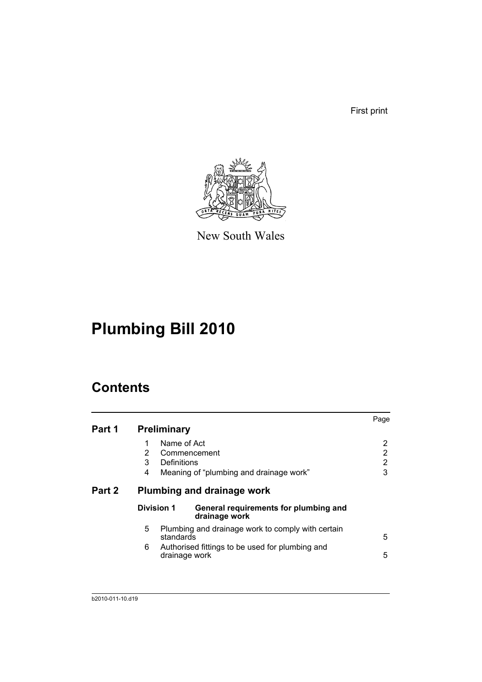First print



New South Wales

# **Plumbing Bill 2010**

## **Contents**

| Part 1 | <b>Preliminary</b>                                                                                                                           | Page             |
|--------|----------------------------------------------------------------------------------------------------------------------------------------------|------------------|
|        | Name of Act<br>1<br>2<br>Commencement<br>3<br>Definitions<br>Meaning of "plumbing and drainage work"<br>4                                    | 2<br>2<br>2<br>3 |
| Part 2 | Plumbing and drainage work                                                                                                                   |                  |
|        | <b>Division 1</b><br>General requirements for plumbing and<br>drainage work                                                                  |                  |
|        | 5<br>Plumbing and drainage work to comply with certain<br>standards<br>Authorised fittings to be used for plumbing and<br>6<br>drainage work | 5<br>5           |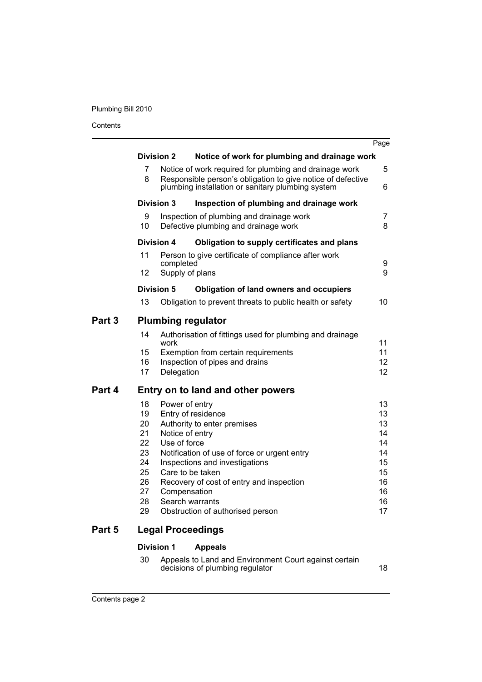Contents

|        |          |                   |                                                                                                                  | Page     |
|--------|----------|-------------------|------------------------------------------------------------------------------------------------------------------|----------|
|        |          | <b>Division 2</b> | Notice of work for plumbing and drainage work                                                                    |          |
|        | 7        |                   | Notice of work required for plumbing and drainage work                                                           | 5        |
|        | 8        |                   | Responsible person's obligation to give notice of defective<br>plumbing installation or sanitary plumbing system | 6        |
|        |          | <b>Division 3</b> | Inspection of plumbing and drainage work                                                                         |          |
|        | 9<br>10  |                   | Inspection of plumbing and drainage work<br>Defective plumbing and drainage work                                 | 7<br>8   |
|        |          | <b>Division 4</b> | Obligation to supply certificates and plans                                                                      |          |
|        | 11       | completed         | Person to give certificate of compliance after work                                                              | 9        |
|        | 12       |                   | Supply of plans                                                                                                  | 9        |
|        |          | Division 5        | <b>Obligation of land owners and occupiers</b>                                                                   |          |
|        | 13       |                   | Obligation to prevent threats to public health or safety                                                         | 10       |
| Part 3 |          |                   | <b>Plumbing regulator</b>                                                                                        |          |
|        | 14       | work              | Authorisation of fittings used for plumbing and drainage                                                         | 11       |
|        | 15       |                   | Exemption from certain requirements                                                                              | 11       |
|        | 16       |                   | Inspection of pipes and drains                                                                                   | 12       |
|        | 17       | Delegation        |                                                                                                                  | 12       |
| Part 4 |          |                   | Entry on to land and other powers                                                                                |          |
|        | 18       | Power of entry    |                                                                                                                  | 13       |
|        | 19<br>20 |                   | Entry of residence<br>Authority to enter premises                                                                | 13<br>13 |
|        | 21       | Notice of entry   |                                                                                                                  | 14       |
|        | 22       | Use of force      |                                                                                                                  | 14       |
|        | 23       |                   | Notification of use of force or urgent entry                                                                     | 14       |
|        | 24       |                   | Inspections and investigations                                                                                   | 15       |
|        | 25<br>26 |                   | Care to be taken<br>Recovery of cost of entry and inspection                                                     | 15<br>16 |
|        | 27       | Compensation      |                                                                                                                  | 16       |
|        | 28       |                   | Search warrants                                                                                                  | 16       |
|        | 29       |                   | Obstruction of authorised person                                                                                 | 17       |
| Part 5 |          |                   | <b>Legal Proceedings</b>                                                                                         |          |
|        |          | <b>Division 1</b> | <b>Appeals</b>                                                                                                   |          |
|        | 30       |                   | Appeals to Land and Environment Court against certain                                                            |          |

decisions of plumbing regulator and the control of the 18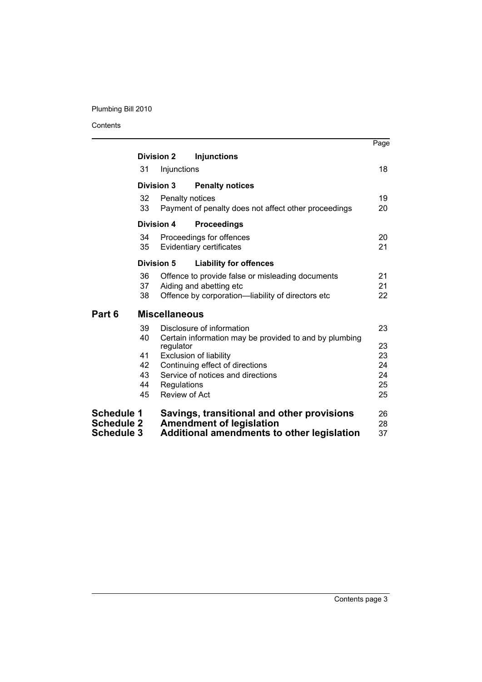Contents

ш.

|                                        |                   |                      |                                                                               | Page     |
|----------------------------------------|-------------------|----------------------|-------------------------------------------------------------------------------|----------|
|                                        | <b>Division 2</b> |                      | <b>Injunctions</b>                                                            |          |
|                                        | 31                | Injunctions          |                                                                               | 18       |
|                                        | <b>Division 3</b> |                      | <b>Penalty notices</b>                                                        |          |
|                                        | 32                | Penalty notices      |                                                                               | 19       |
|                                        | 33                |                      | Payment of penalty does not affect other proceedings                          | 20       |
|                                        | <b>Division 4</b> |                      | <b>Proceedings</b>                                                            |          |
|                                        | 34                |                      | Proceedings for offences                                                      | 20       |
|                                        | 35                |                      | Evidentiary certificates                                                      | 21       |
|                                        | <b>Division 5</b> |                      | <b>Liability for offences</b>                                                 |          |
|                                        | 36                |                      | Offence to provide false or misleading documents                              | 21       |
|                                        | 37                |                      | Aiding and abetting etc                                                       | 21       |
|                                        | 38                |                      | Offence by corporation-liability of directors etc                             | 22       |
| Part 6                                 |                   | <b>Miscellaneous</b> |                                                                               |          |
|                                        | 39                |                      | Disclosure of information                                                     | 23       |
|                                        | 40                |                      | Certain information may be provided to and by plumbing                        |          |
|                                        |                   | regulator            |                                                                               | 23       |
|                                        | 41<br>42          |                      | <b>Exclusion of liability</b><br>Continuing effect of directions              | 23<br>24 |
|                                        | 43                |                      | Service of notices and directions                                             | 24       |
|                                        | 44                | Regulations          |                                                                               | 25       |
|                                        | 45                | Review of Act        |                                                                               | 25       |
| <b>Schedule 1</b><br><b>Schedule 2</b> |                   |                      | Savings, transitional and other provisions<br><b>Amendment of legislation</b> | 26<br>28 |
| <b>Schedule 3</b>                      |                   |                      | Additional amendments to other legislation                                    | 37       |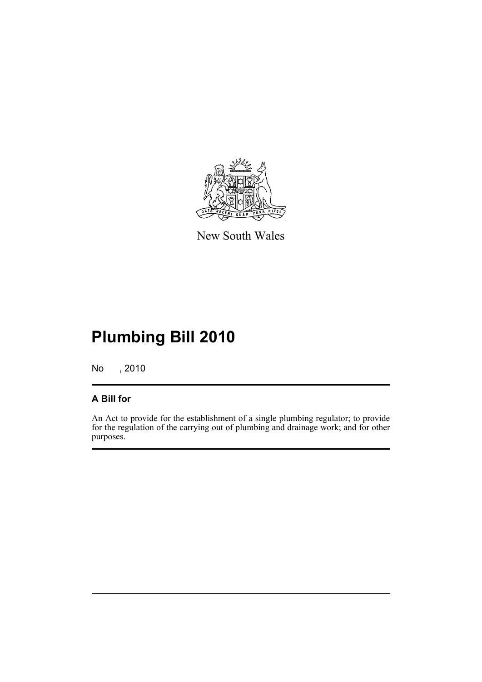

New South Wales

# **Plumbing Bill 2010**

No , 2010

### **A Bill for**

An Act to provide for the establishment of a single plumbing regulator; to provide for the regulation of the carrying out of plumbing and drainage work; and for other purposes.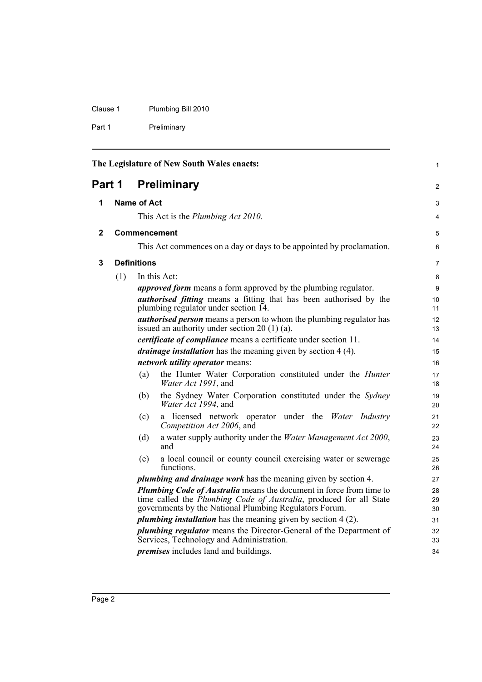Clause 1 Plumbing Bill 2010

Part 1 Preliminary

<span id="page-11-3"></span><span id="page-11-2"></span><span id="page-11-1"></span><span id="page-11-0"></span>

| The Legislature of New South Wales enacts: |                              |                    | 1                                                                                                                                                                                                                  |                |
|--------------------------------------------|------------------------------|--------------------|--------------------------------------------------------------------------------------------------------------------------------------------------------------------------------------------------------------------|----------------|
|                                            | <b>Preliminary</b><br>Part 1 |                    |                                                                                                                                                                                                                    |                |
| 1                                          |                              | <b>Name of Act</b> |                                                                                                                                                                                                                    | 3              |
|                                            |                              |                    | This Act is the <i>Plumbing Act 2010</i> .                                                                                                                                                                         | 4              |
| 2                                          |                              |                    | Commencement                                                                                                                                                                                                       | 5              |
|                                            |                              |                    | This Act commences on a day or days to be appointed by proclamation.                                                                                                                                               | 6              |
| 3                                          |                              | <b>Definitions</b> |                                                                                                                                                                                                                    | $\overline{7}$ |
|                                            | (1)                          |                    | In this Act:                                                                                                                                                                                                       | 8              |
|                                            |                              |                    | <i>approved form</i> means a form approved by the plumbing regulator.                                                                                                                                              | 9              |
|                                            |                              |                    | <i>authorised fitting</i> means a fitting that has been authorised by the                                                                                                                                          | 10             |
|                                            |                              |                    | plumbing regulator under section 14.                                                                                                                                                                               | 11             |
|                                            |                              |                    | <b><i>authorised person</i></b> means a person to whom the plumbing regulator has<br>issued an authority under section $20(1)(a)$ .                                                                                | 12<br>13       |
|                                            |                              |                    | <i>certificate of compliance</i> means a certificate under section 11.                                                                                                                                             | 14             |
|                                            |                              |                    | drainage installation has the meaning given by section 4 (4).                                                                                                                                                      | 15             |
|                                            |                              |                    | network utility operator means:                                                                                                                                                                                    | 16             |
|                                            |                              | (a)                | the Hunter Water Corporation constituted under the <i>Hunter</i><br>Water Act 1991, and                                                                                                                            | 17<br>18       |
|                                            |                              | (b)                | the Sydney Water Corporation constituted under the Sydney<br>Water Act 1994, and                                                                                                                                   | 19<br>20       |
|                                            |                              | (c)                | a licensed network operator under the Water Industry<br>Competition Act 2006, and                                                                                                                                  | 21<br>22       |
|                                            |                              | (d)                | a water supply authority under the <i>Water Management Act 2000</i> ,<br>and                                                                                                                                       | 23<br>24       |
|                                            |                              | (e)                | a local council or county council exercising water or sewerage<br>functions.                                                                                                                                       | 25<br>26       |
|                                            |                              |                    | <i>plumbing and drainage work</i> has the meaning given by section 4.                                                                                                                                              | 27             |
|                                            |                              |                    | <b>Plumbing Code of Australia</b> means the document in force from time to<br>time called the <i>Plumbing Code of Australia</i> , produced for all State<br>governments by the National Plumbing Regulators Forum. | 28<br>29<br>30 |
|                                            |                              |                    | <i>plumbing installation</i> has the meaning given by section 4 (2).                                                                                                                                               | 31             |
|                                            |                              |                    | <i>plumbing regulator</i> means the Director-General of the Department of                                                                                                                                          | 32             |
|                                            |                              |                    | Services, Technology and Administration.                                                                                                                                                                           | 33             |
|                                            |                              |                    | <i>premises</i> includes land and buildings.                                                                                                                                                                       | 34             |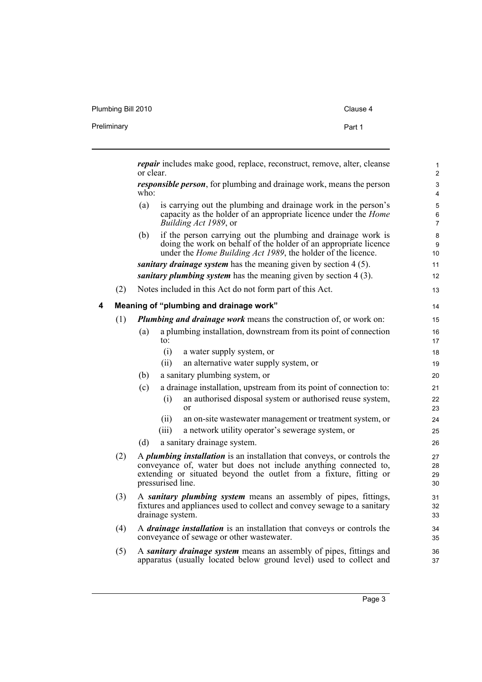Plumbing Bill 2010 Clause 4

| Preliminary | Part 1 |
|-------------|--------|
|             |        |

<span id="page-12-0"></span>

|   |     | <i>repair</i> includes make good, replace, reconstruct, remove, alter, cleanse<br>or clear.                                                                                                                                                    | 1<br>$\mathbf{2}$              |
|---|-----|------------------------------------------------------------------------------------------------------------------------------------------------------------------------------------------------------------------------------------------------|--------------------------------|
|   |     | <i>responsible person</i> , for plumbing and drainage work, means the person<br>$who$ :                                                                                                                                                        | 3<br>4                         |
|   |     | is carrying out the plumbing and drainage work in the person's<br>(a)<br>capacity as the holder of an appropriate licence under the <i>Home</i><br>Building Act 1989, or                                                                       | 5<br>$\,6\,$<br>$\overline{7}$ |
|   |     | if the person carrying out the plumbing and drainage work is<br>(b)<br>doing the work on behalf of the holder of an appropriate licence<br>under the <i>Home Building Act 1989</i> , the holder of the licence.                                | 8<br>9<br>10                   |
|   |     | sanitary drainage system has the meaning given by section 4 (5).                                                                                                                                                                               | 11                             |
|   |     | sanitary plumbing system has the meaning given by section 4 (3).                                                                                                                                                                               | 12                             |
|   | (2) | Notes included in this Act do not form part of this Act.                                                                                                                                                                                       | 13                             |
| 4 |     | Meaning of "plumbing and drainage work"                                                                                                                                                                                                        | 14                             |
|   | (1) | <b>Plumbing and drainage work means the construction of, or work on:</b>                                                                                                                                                                       | 15                             |
|   |     | a plumbing installation, downstream from its point of connection<br>(a)<br>to:                                                                                                                                                                 | 16<br>17                       |
|   |     | (i)<br>a water supply system, or                                                                                                                                                                                                               | 18                             |
|   |     | an alternative water supply system, or<br>(ii)                                                                                                                                                                                                 | 19                             |
|   |     | a sanitary plumbing system, or<br>(b)                                                                                                                                                                                                          | 20                             |
|   |     | (c)<br>a drainage installation, upstream from its point of connection to:                                                                                                                                                                      | 21                             |
|   |     | an authorised disposal system or authorised reuse system,<br>(i)<br>or                                                                                                                                                                         | 22<br>23                       |
|   |     | an on-site was tewater management or treatment system, or<br>(ii)                                                                                                                                                                              | 24                             |
|   |     | (iii)<br>a network utility operator's sewerage system, or                                                                                                                                                                                      | 25                             |
|   |     | (d)<br>a sanitary drainage system.                                                                                                                                                                                                             | 26                             |
|   | (2) | A <i>plumbing installation</i> is an installation that conveys, or controls the<br>conveyance of, water but does not include anything connected to,<br>extending or situated beyond the outlet from a fixture, fitting or<br>pressurised line. | 27<br>28<br>29<br>30           |
|   | (3) | A sanitary plumbing system means an assembly of pipes, fittings,<br>fixtures and appliances used to collect and convey sewage to a sanitary<br>drainage system.                                                                                | 31<br>32<br>33                 |
|   | (4) | A <i>drainage installation</i> is an installation that conveys or controls the<br>conveyance of sewage or other wastewater.                                                                                                                    | 34<br>35                       |
|   | (5) | A sanitary drainage system means an assembly of pipes, fittings and<br>apparatus (usually located below ground level) used to collect and                                                                                                      | 36<br>37                       |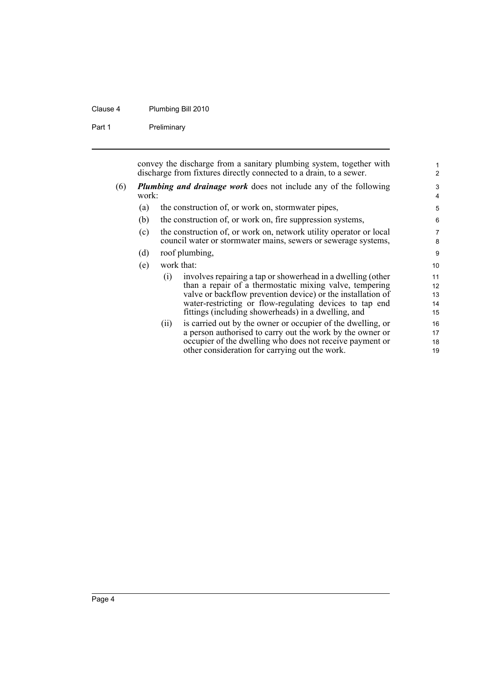#### Clause 4 Plumbing Bill 2010

Part 1 Preliminary

convey the discharge from a sanitary plumbing system, together with discharge from fixtures directly connected to a drain, to a sewer.

- (6) *Plumbing and drainage work* does not include any of the following work:
	- (a) the construction of, or work on, stormwater pipes,
	- (b) the construction of, or work on, fire suppression systems,
	- (c) the construction of, or work on, network utility operator or local council water or stormwater mains, sewers or sewerage systems,
	- (d) roof plumbing,
	- (e) work that:
		- (i) involves repairing a tap or showerhead in a dwelling (other than a repair of a thermostatic mixing valve, tempering valve or backflow prevention device) or the installation of water-restricting or flow-regulating devices to tap end fittings (including showerheads) in a dwelling, and
		- (ii) is carried out by the owner or occupier of the dwelling, or a person authorised to carry out the work by the owner or occupier of the dwelling who does not receive payment or other consideration for carrying out the work.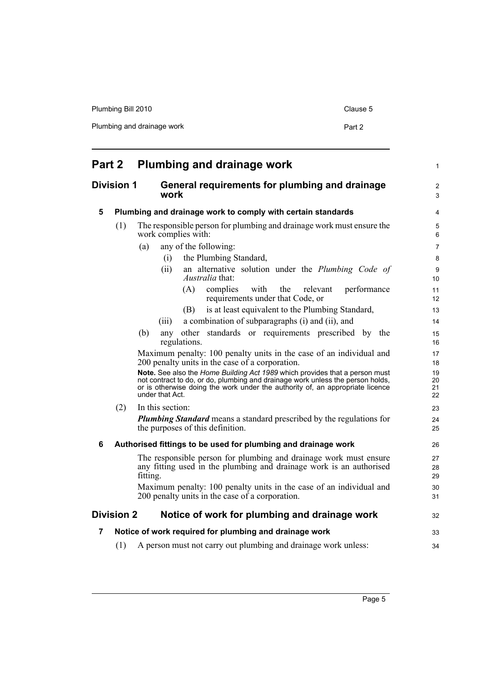| Plumbing Bill 2010         | Clause 5 |
|----------------------------|----------|
| Plumbing and drainage work | Part 2   |

<span id="page-14-5"></span><span id="page-14-4"></span><span id="page-14-3"></span><span id="page-14-2"></span><span id="page-14-1"></span><span id="page-14-0"></span>

| Part 2            |                   | Plumbing and drainage work                                                                                                                                                                                                                                     | $\mathbf{1}$         |
|-------------------|-------------------|----------------------------------------------------------------------------------------------------------------------------------------------------------------------------------------------------------------------------------------------------------------|----------------------|
| <b>Division 1</b> |                   | General requirements for plumbing and drainage<br>work                                                                                                                                                                                                         | 2<br>3               |
| 5                 |                   | Plumbing and drainage work to comply with certain standards                                                                                                                                                                                                    | $\overline{4}$       |
|                   | (1)               | The responsible person for plumbing and drainage work must ensure the<br>work complies with:                                                                                                                                                                   | 5<br>6               |
|                   |                   | any of the following:<br>(a)                                                                                                                                                                                                                                   | $\overline{7}$       |
|                   |                   | the Plumbing Standard,<br>(i)                                                                                                                                                                                                                                  | 8                    |
|                   |                   | an alternative solution under the Plumbing Code of<br>(ii)<br>Australia that:                                                                                                                                                                                  | 9<br>10              |
|                   |                   | (A)<br>complies<br>with<br>the<br>relevant<br>performance<br>requirements under that Code, or                                                                                                                                                                  | 11<br>12             |
|                   |                   | is at least equivalent to the Plumbing Standard,<br>(B)                                                                                                                                                                                                        | 13                   |
|                   |                   | a combination of subparagraphs (i) and (ii), and<br>(iii)                                                                                                                                                                                                      | 14                   |
|                   |                   | other standards or requirements prescribed by the<br>(b)<br>any<br>regulations.                                                                                                                                                                                | 15<br>16             |
|                   |                   | Maximum penalty: 100 penalty units in the case of an individual and<br>200 penalty units in the case of a corporation.                                                                                                                                         | 17<br>18             |
|                   |                   | Note. See also the Home Building Act 1989 which provides that a person must<br>not contract to do, or do, plumbing and drainage work unless the person holds, or is otherwise doing the work under the authority of, an appropriate licence<br>under that Act. | 19<br>20<br>21<br>22 |
|                   | (2)               | In this section:                                                                                                                                                                                                                                               | 23                   |
|                   |                   | <b>Plumbing Standard</b> means a standard prescribed by the regulations for<br>the purposes of this definition.                                                                                                                                                | 24<br>25             |
| 6                 |                   | Authorised fittings to be used for plumbing and drainage work                                                                                                                                                                                                  | 26                   |
|                   |                   | The responsible person for plumbing and drainage work must ensure<br>any fitting used in the plumbing and drainage work is an authorised<br>fitting.                                                                                                           | 27<br>28<br>29       |
|                   |                   | Maximum penalty: 100 penalty units in the case of an individual and<br>200 penalty units in the case of a corporation.                                                                                                                                         | 30<br>31             |
|                   | <b>Division 2</b> | Notice of work for plumbing and drainage work                                                                                                                                                                                                                  | 32                   |
| 7                 |                   | Notice of work required for plumbing and drainage work                                                                                                                                                                                                         | 33                   |
|                   | (1)               | A person must not carry out plumbing and drainage work unless:                                                                                                                                                                                                 | 34                   |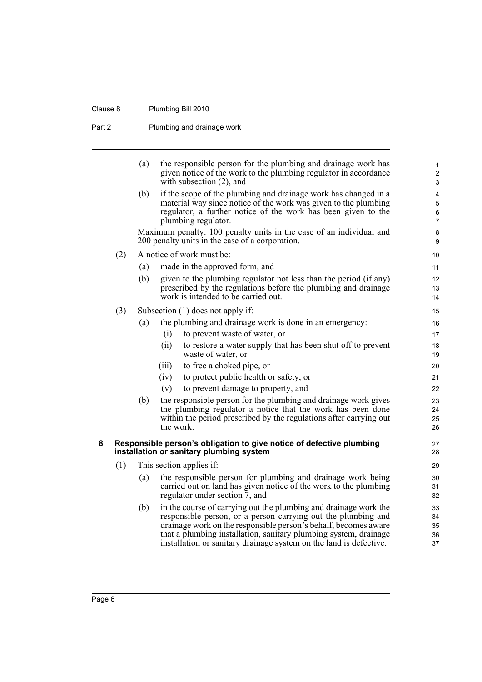### Clause 8 Plumbing Bill 2010

Part 2 Plumbing and drainage work

<span id="page-15-0"></span>

|   |     | (a) | the responsible person for the plumbing and drainage work has<br>given notice of the work to the plumbing regulator in accordance<br>with subsection $(2)$ , and                                                                                                                                                                               | 1<br>$\overline{2}$<br>3      |
|---|-----|-----|------------------------------------------------------------------------------------------------------------------------------------------------------------------------------------------------------------------------------------------------------------------------------------------------------------------------------------------------|-------------------------------|
|   |     | (b) | if the scope of the plumbing and drainage work has changed in a<br>material way since notice of the work was given to the plumbing<br>regulator, a further notice of the work has been given to the<br>plumbing regulator.                                                                                                                     | 4<br>5<br>6<br>$\overline{7}$ |
|   |     |     | Maximum penalty: 100 penalty units in the case of an individual and<br>200 penalty units in the case of a corporation.                                                                                                                                                                                                                         | $\bf 8$<br>9                  |
|   | (2) |     | A notice of work must be:                                                                                                                                                                                                                                                                                                                      | 10                            |
|   |     | (a) | made in the approved form, and                                                                                                                                                                                                                                                                                                                 | 11                            |
|   |     | (b) | given to the plumbing regulator not less than the period (if any)<br>prescribed by the regulations before the plumbing and drainage<br>work is intended to be carried out.                                                                                                                                                                     | 12<br>13<br>14                |
|   | (3) |     | Subsection $(1)$ does not apply if:                                                                                                                                                                                                                                                                                                            | 15                            |
|   |     | (a) | the plumbing and drainage work is done in an emergency:                                                                                                                                                                                                                                                                                        | 16                            |
|   |     |     | to prevent waste of water, or<br>(i)                                                                                                                                                                                                                                                                                                           | 17                            |
|   |     |     | (ii)<br>to restore a water supply that has been shut off to prevent<br>waste of water, or                                                                                                                                                                                                                                                      | 18<br>19                      |
|   |     |     | to free a choked pipe, or<br>(iii)                                                                                                                                                                                                                                                                                                             | 20                            |
|   |     |     | (iv)<br>to protect public health or safety, or                                                                                                                                                                                                                                                                                                 | 21                            |
|   |     |     | (v)<br>to prevent damage to property, and                                                                                                                                                                                                                                                                                                      | 22                            |
|   |     | (b) | the responsible person for the plumbing and drainage work gives<br>the plumbing regulator a notice that the work has been done<br>within the period prescribed by the regulations after carrying out<br>the work.                                                                                                                              | 23<br>24<br>25<br>26          |
| 8 |     |     | Responsible person's obligation to give notice of defective plumbing<br>installation or sanitary plumbing system                                                                                                                                                                                                                               | 27<br>28                      |
|   | (1) |     | This section applies if:                                                                                                                                                                                                                                                                                                                       | 29                            |
|   |     | (a) | the responsible person for plumbing and drainage work being<br>carried out on land has given notice of the work to the plumbing<br>regulator under section 7, and                                                                                                                                                                              | 30<br>31<br>32                |
|   |     | (b) | in the course of carrying out the plumbing and drainage work the<br>responsible person, or a person carrying out the plumbing and<br>drainage work on the responsible person's behalf, becomes aware<br>that a plumbing installation, sanitary plumbing system, drainage<br>installation or sanitary drainage system on the land is defective. | 33<br>34<br>35<br>36<br>37    |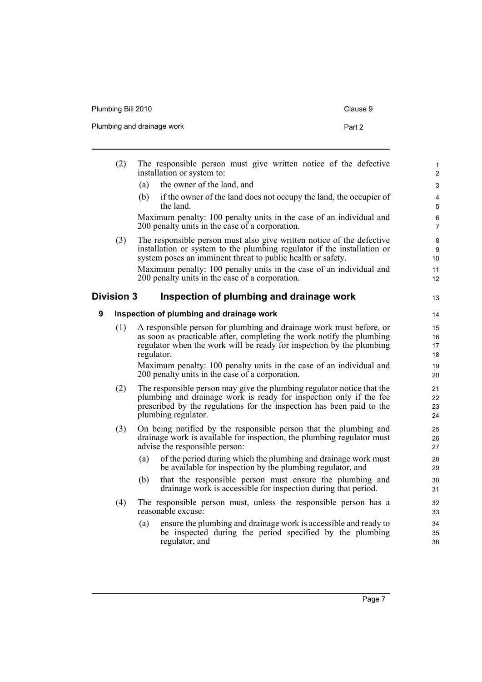| Plumbing Bill 2010         | Clause 9 |
|----------------------------|----------|
| Plumbing and drainage work | Part 2   |

<span id="page-16-1"></span><span id="page-16-0"></span>

|   | (2)               | The responsible person must give written notice of the defective<br>installation or system to:                                                                                                                                               | $\mathbf{1}$<br>$\overline{2}$ |
|---|-------------------|----------------------------------------------------------------------------------------------------------------------------------------------------------------------------------------------------------------------------------------------|--------------------------------|
|   |                   | the owner of the land, and<br>(a)                                                                                                                                                                                                            | $\mathsf 3$                    |
|   |                   | (b)<br>if the owner of the land does not occupy the land, the occupier of<br>the land.                                                                                                                                                       | 4<br>$\sqrt{5}$                |
|   |                   | Maximum penalty: 100 penalty units in the case of an individual and<br>200 penalty units in the case of a corporation.                                                                                                                       | $\,6\,$<br>7                   |
|   | (3)               | The responsible person must also give written notice of the defective<br>installation or system to the plumbing regulator if the installation or<br>system poses an imminent threat to public health or safety.                              | 8<br>$\boldsymbol{9}$<br>10    |
|   |                   | Maximum penalty: 100 penalty units in the case of an individual and<br>200 penalty units in the case of a corporation.                                                                                                                       | 11<br>12                       |
|   | <b>Division 3</b> | Inspection of plumbing and drainage work                                                                                                                                                                                                     | 13                             |
| 9 |                   | Inspection of plumbing and drainage work                                                                                                                                                                                                     | 14                             |
|   | (1)               | A responsible person for plumbing and drainage work must before, or<br>as soon as practicable after, completing the work notify the plumbing<br>regulator when the work will be ready for inspection by the plumbing<br>regulator.           | 15<br>16<br>17<br>18           |
|   |                   | Maximum penalty: 100 penalty units in the case of an individual and<br>200 penalty units in the case of a corporation.                                                                                                                       | 19<br>20                       |
|   | (2)               | The responsible person may give the plumbing regulator notice that the<br>plumbing and drainage work is ready for inspection only if the fee<br>prescribed by the regulations for the inspection has been paid to the<br>plumbing regulator. | 21<br>22<br>23<br>24           |
|   | (3)               | On being notified by the responsible person that the plumbing and<br>drainage work is available for inspection, the plumbing regulator must<br>advise the responsible person:                                                                | 25<br>26<br>27                 |
|   |                   | of the period during which the plumbing and drainage work must<br>(a)<br>be available for inspection by the plumbing regulator, and                                                                                                          | 28<br>29                       |
|   |                   | that the responsible person must ensure the plumbing and<br>(b)<br>drainage work is accessible for inspection during that period.                                                                                                            | 30<br>31                       |
|   | (4)               | The responsible person must, unless the responsible person has a<br>reasonable excuse:                                                                                                                                                       | 32<br>33                       |
|   |                   | ensure the plumbing and drainage work is accessible and ready to<br>(a)<br>be inspected during the period specified by the plumbing<br>regulator, and                                                                                        | 34<br>35<br>36                 |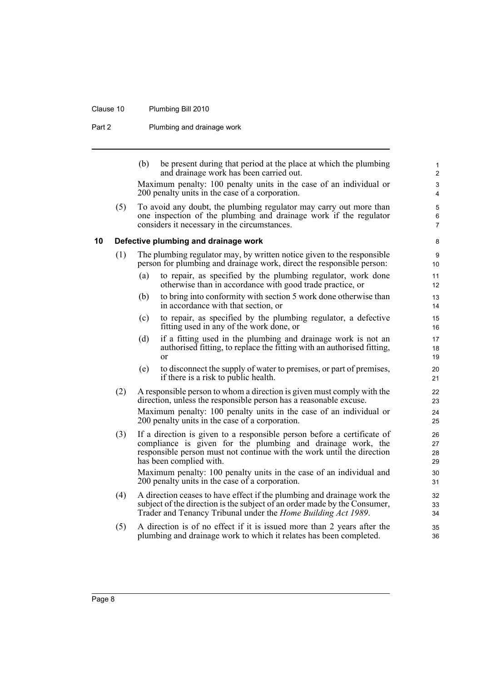#### Clause 10 Plumbing Bill 2010

Part 2 Plumbing and drainage work

(b) be present during that period at the place at which the plumbing and drainage work has been carried out.

Maximum penalty: 100 penalty units in the case of an individual or 200 penalty units in the case of a corporation.

(5) To avoid any doubt, the plumbing regulator may carry out more than one inspection of the plumbing and drainage work if the regulator considers it necessary in the circumstances.

#### <span id="page-17-0"></span>**10 Defective plumbing and drainage work**

- (1) The plumbing regulator may, by written notice given to the responsible person for plumbing and drainage work, direct the responsible person:
	- (a) to repair, as specified by the plumbing regulator, work done otherwise than in accordance with good trade practice, or
	- (b) to bring into conformity with section 5 work done otherwise than in accordance with that section, or
	- (c) to repair, as specified by the plumbing regulator, a defective fitting used in any of the work done, or
	- (d) if a fitting used in the plumbing and drainage work is not an authorised fitting, to replace the fitting with an authorised fitting, or
	- (e) to disconnect the supply of water to premises, or part of premises, if there is a risk to public health.
- (2) A responsible person to whom a direction is given must comply with the direction, unless the responsible person has a reasonable excuse. Maximum penalty: 100 penalty units in the case of an individual or 200 penalty units in the case of a corporation.
- (3) If a direction is given to a responsible person before a certificate of compliance is given for the plumbing and drainage work, the responsible person must not continue with the work until the direction has been complied with. Maximum penalty: 100 penalty units in the case of an individual and

200 penalty units in the case of a corporation.

- (4) A direction ceases to have effect if the plumbing and drainage work the subject of the direction is the subject of an order made by the Consumer, Trader and Tenancy Tribunal under the *Home Building Act 1989*.
- (5) A direction is of no effect if it is issued more than 2 years after the plumbing and drainage work to which it relates has been completed.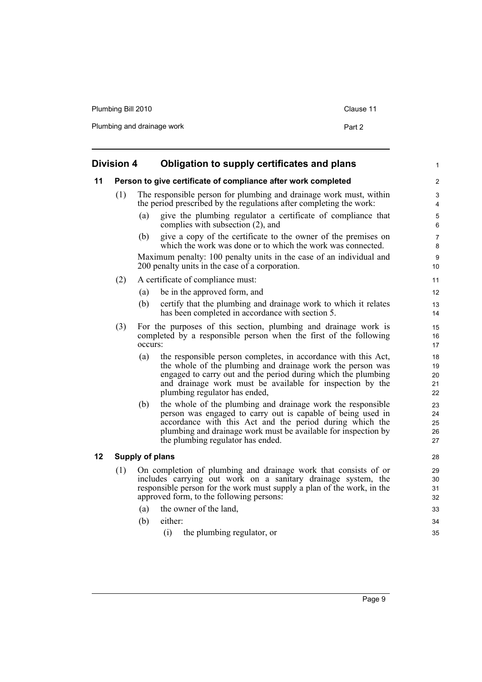| Plumbing Bill 2010         | Clause 11 |
|----------------------------|-----------|
| Plumbing and drainage work | Part 2    |

<span id="page-18-2"></span><span id="page-18-1"></span><span id="page-18-0"></span>

|    | <b>Division 4</b> | Obligation to supply certificates and plans                                                                                                                                                                                                                                                          | 1                          |
|----|-------------------|------------------------------------------------------------------------------------------------------------------------------------------------------------------------------------------------------------------------------------------------------------------------------------------------------|----------------------------|
| 11 |                   | Person to give certificate of compliance after work completed                                                                                                                                                                                                                                        | $\overline{2}$             |
|    | (1)               | The responsible person for plumbing and drainage work must, within<br>the period prescribed by the regulations after completing the work:                                                                                                                                                            | 3<br>4                     |
|    |                   | give the plumbing regulator a certificate of compliance that<br>(a)<br>complies with subsection (2), and                                                                                                                                                                                             | 5<br>6                     |
|    |                   | give a copy of the certificate to the owner of the premises on<br>(b)<br>which the work was done or to which the work was connected.                                                                                                                                                                 | $\overline{7}$<br>8        |
|    |                   | Maximum penalty: 100 penalty units in the case of an individual and<br>200 penalty units in the case of a corporation.                                                                                                                                                                               | 9<br>10                    |
|    | (2)               | A certificate of compliance must:                                                                                                                                                                                                                                                                    | 11                         |
|    |                   | be in the approved form, and<br>(a)                                                                                                                                                                                                                                                                  | 12                         |
|    |                   | certify that the plumbing and drainage work to which it relates<br>(b)<br>has been completed in accordance with section 5.                                                                                                                                                                           | 13<br>14                   |
|    | (3)               | For the purposes of this section, plumbing and drainage work is<br>completed by a responsible person when the first of the following<br>occurs:                                                                                                                                                      | 15<br>16<br>17             |
|    |                   | (a)<br>the responsible person completes, in accordance with this Act,<br>the whole of the plumbing and drainage work the person was<br>engaged to carry out and the period during which the plumbing<br>and drainage work must be available for inspection by the<br>plumbing regulator has ended,   | 18<br>19<br>20<br>21<br>22 |
|    |                   | the whole of the plumbing and drainage work the responsible<br>(b)<br>person was engaged to carry out is capable of being used in<br>accordance with this Act and the period during which the<br>plumbing and drainage work must be available for inspection by<br>the plumbing regulator has ended. | 23<br>24<br>25<br>26<br>27 |
| 12 |                   | <b>Supply of plans</b>                                                                                                                                                                                                                                                                               | 28                         |
|    | (1)               | On completion of plumbing and drainage work that consists of or<br>includes carrying out work on a sanitary drainage system, the<br>responsible person for the work must supply a plan of the work, in the<br>approved form, to the following persons:                                               | 29<br>30<br>31<br>32       |
|    |                   | the owner of the land,<br>(a)                                                                                                                                                                                                                                                                        | 33                         |
|    |                   | either:<br>(b)                                                                                                                                                                                                                                                                                       | 34                         |
|    |                   | (i)<br>the plumbing regulator, or                                                                                                                                                                                                                                                                    | 35                         |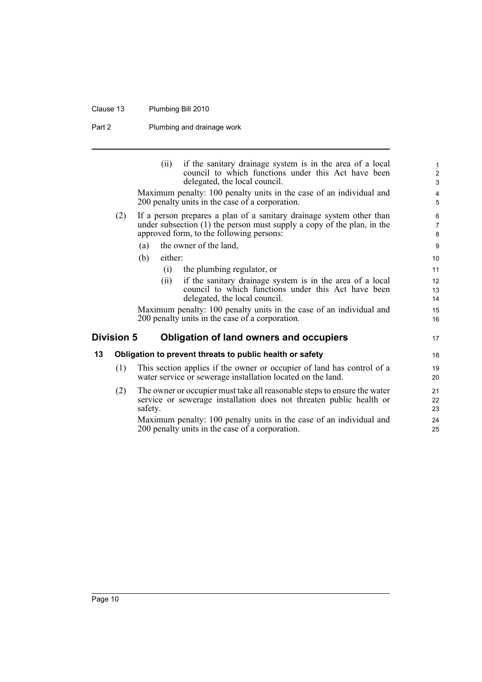### Clause 13 Plumbing Bill 2010

Part 2 Plumbing and drainage work

<span id="page-19-1"></span><span id="page-19-0"></span>

|    |                   | if the sanitary drainage system is in the area of a local<br>(ii)<br>council to which functions under this Act have been<br>delegated, the local council.                                    | $\mathbf{1}$<br>$\overline{2}$<br>$\mathfrak{S}$ |
|----|-------------------|----------------------------------------------------------------------------------------------------------------------------------------------------------------------------------------------|--------------------------------------------------|
|    |                   | Maximum penalty: 100 penalty units in the case of an individual and<br>200 penalty units in the case of a corporation.                                                                       | $\overline{4}$<br>5                              |
|    | (2)               | If a person prepares a plan of a sanitary drainage system other than<br>under subsection $(1)$ the person must supply a copy of the plan, in the<br>approved form, to the following persons: | 6<br>$\overline{7}$<br>8                         |
|    |                   | the owner of the land,<br>(a)                                                                                                                                                                | $\boldsymbol{9}$                                 |
|    |                   | either:<br>(b)                                                                                                                                                                               | 10                                               |
|    |                   | the plumbing regulator, or<br>(i)                                                                                                                                                            | 11                                               |
|    |                   | if the sanitary drainage system is in the area of a local<br>(ii)<br>council to which functions under this Act have been<br>delegated, the local council.                                    | 12<br>13<br>14                                   |
|    |                   | Maximum penalty: 100 penalty units in the case of an individual and<br>200 penalty units in the case of a corporation.                                                                       | 15<br>16                                         |
|    | <b>Division 5</b> | <b>Obligation of land owners and occupiers</b>                                                                                                                                               | 17                                               |
| 13 |                   | Obligation to prevent threats to public health or safety                                                                                                                                     | 18                                               |
|    | (1)               | This section applies if the owner or occupier of land has control of a<br>water service or sewerage installation located on the land.                                                        | 19<br>20                                         |
|    | (2)               | The owner or occupier must take all reasonable steps to ensure the water<br>service or sewerage installation does not threaten public health or<br>safety.                                   | 21<br>22<br>23                                   |
|    |                   | Maximum penalty: 100 penalty units in the case of an individual and<br>200 penalty units in the case of a corporation.                                                                       | 24<br>25                                         |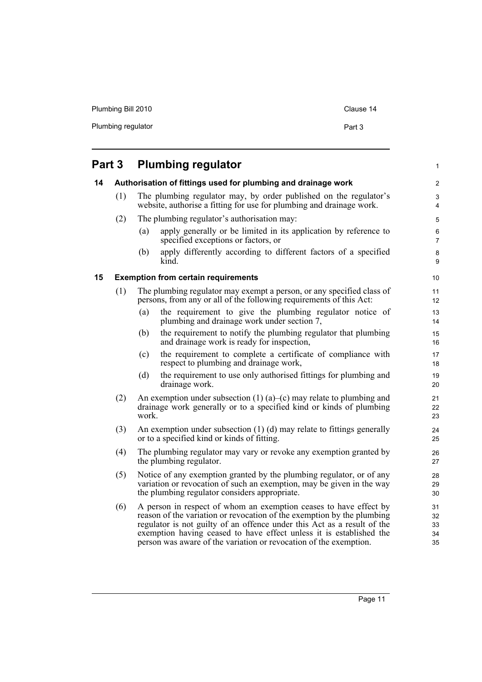| Plumbing Bill 2010 | Clause 14 |
|--------------------|-----------|
| Plumbing regulator | Part 3    |

<span id="page-20-2"></span><span id="page-20-1"></span><span id="page-20-0"></span>

| Part 3 |     |       | <b>Plumbing regulator</b>                                                                                                                                                                                                                                                                                                                                          | 1                              |
|--------|-----|-------|--------------------------------------------------------------------------------------------------------------------------------------------------------------------------------------------------------------------------------------------------------------------------------------------------------------------------------------------------------------------|--------------------------------|
| 14     |     |       | Authorisation of fittings used for plumbing and drainage work                                                                                                                                                                                                                                                                                                      | $\overline{\mathbf{c}}$        |
|        | (1) |       | The plumbing regulator may, by order published on the regulator's<br>website, authorise a fitting for use for plumbing and drainage work.                                                                                                                                                                                                                          | $\ensuremath{\mathsf{3}}$<br>4 |
|        | (2) |       | The plumbing regulator's authorisation may:                                                                                                                                                                                                                                                                                                                        | 5                              |
|        |     | (a)   | apply generally or be limited in its application by reference to<br>specified exceptions or factors, or                                                                                                                                                                                                                                                            | $\,6$<br>$\boldsymbol{7}$      |
|        |     | (b)   | apply differently according to different factors of a specified<br>kind.                                                                                                                                                                                                                                                                                           | 8<br>9                         |
| 15     |     |       | <b>Exemption from certain requirements</b>                                                                                                                                                                                                                                                                                                                         | 10                             |
|        | (1) |       | The plumbing regulator may exempt a person, or any specified class of<br>persons, from any or all of the following requirements of this Act:                                                                                                                                                                                                                       | 11<br>12                       |
|        |     | (a)   | the requirement to give the plumbing regulator notice of<br>plumbing and drainage work under section 7,                                                                                                                                                                                                                                                            | 13<br>14                       |
|        |     | (b)   | the requirement to notify the plumbing regulator that plumbing<br>and drainage work is ready for inspection,                                                                                                                                                                                                                                                       | 15<br>16                       |
|        |     | (c)   | the requirement to complete a certificate of compliance with<br>respect to plumbing and drainage work,                                                                                                                                                                                                                                                             | 17<br>18                       |
|        |     | (d)   | the requirement to use only authorised fittings for plumbing and<br>drainage work.                                                                                                                                                                                                                                                                                 | 19<br>20                       |
|        | (2) | work. | An exemption under subsection $(1)$ (a)–(c) may relate to plumbing and<br>drainage work generally or to a specified kind or kinds of plumbing                                                                                                                                                                                                                      | 21<br>22<br>23                 |
|        | (3) |       | An exemption under subsection $(1)$ $(d)$ may relate to fittings generally<br>or to a specified kind or kinds of fitting.                                                                                                                                                                                                                                          | 24<br>25                       |
|        | (4) |       | The plumbing regulator may vary or revoke any exemption granted by<br>the plumbing regulator.                                                                                                                                                                                                                                                                      | 26<br>27                       |
|        | (5) |       | Notice of any exemption granted by the plumbing regulator, or of any<br>variation or revocation of such an exemption, may be given in the way<br>the plumbing regulator considers appropriate.                                                                                                                                                                     | 28<br>29<br>30                 |
|        | (6) |       | A person in respect of whom an exemption ceases to have effect by<br>reason of the variation or revocation of the exemption by the plumbing<br>regulator is not guilty of an offence under this Act as a result of the<br>exemption having ceased to have effect unless it is established the<br>person was aware of the variation or revocation of the exemption. | 31<br>32<br>33<br>34<br>35     |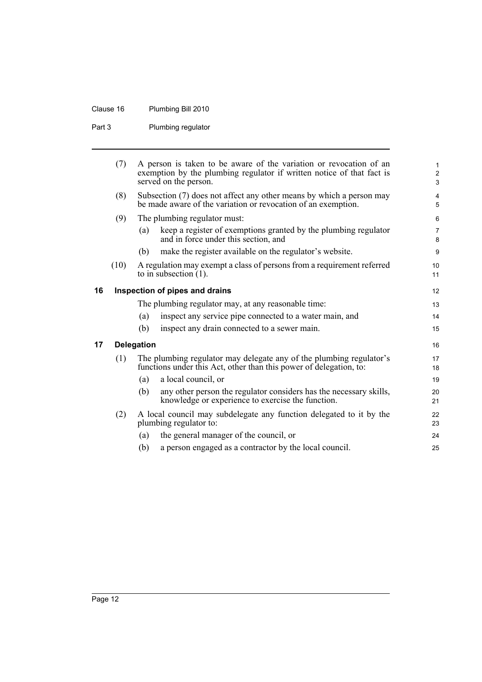### Clause 16 Plumbing Bill 2010

Part 3 Plumbing regulator

<span id="page-21-1"></span><span id="page-21-0"></span>

|    | (7)  |                   | A person is taken to be aware of the variation or revocation of an<br>exemption by the plumbing regulator if written notice of that fact is<br>served on the person. | 1<br>$\overline{\mathbf{c}}$<br>3 |
|----|------|-------------------|----------------------------------------------------------------------------------------------------------------------------------------------------------------------|-----------------------------------|
|    | (8)  |                   | Subsection (7) does not affect any other means by which a person may<br>be made aware of the variation or revocation of an exemption.                                | 4<br>5                            |
|    | (9)  |                   | The plumbing regulator must:                                                                                                                                         | 6                                 |
|    |      | (a)               | keep a register of exemptions granted by the plumbing regulator<br>and in force under this section, and                                                              | 7<br>8                            |
|    |      | (b)               | make the register available on the regulator's website.                                                                                                              | 9                                 |
|    | (10) |                   | A regulation may exempt a class of persons from a requirement referred<br>to in subsection $(1)$ .                                                                   | 10<br>11                          |
| 16 |      |                   | Inspection of pipes and drains                                                                                                                                       | 12                                |
|    |      |                   | The plumbing regulator may, at any reasonable time:                                                                                                                  | 13                                |
|    |      | (a)               | inspect any service pipe connected to a water main, and                                                                                                              | 14                                |
|    |      | (b)               | inspect any drain connected to a sewer main.                                                                                                                         | 15                                |
| 17 |      | <b>Delegation</b> |                                                                                                                                                                      | 16                                |
|    | (1)  |                   | The plumbing regulator may delegate any of the plumbing regulator's<br>functions under this Act, other than this power of delegation, to:                            | 17<br>18                          |
|    |      | (a)               | a local council, or                                                                                                                                                  | 19                                |
|    |      | (b)               | any other person the regulator considers has the necessary skills,<br>knowledge or experience to exercise the function.                                              | 20<br>21                          |
|    | (2)  |                   | A local council may subdelegate any function delegated to it by the<br>plumbing regulator to:                                                                        | 22<br>23                          |
|    |      | (a)               | the general manager of the council, or                                                                                                                               | 24                                |
|    |      | (b)               | a person engaged as a contractor by the local council.                                                                                                               | 25                                |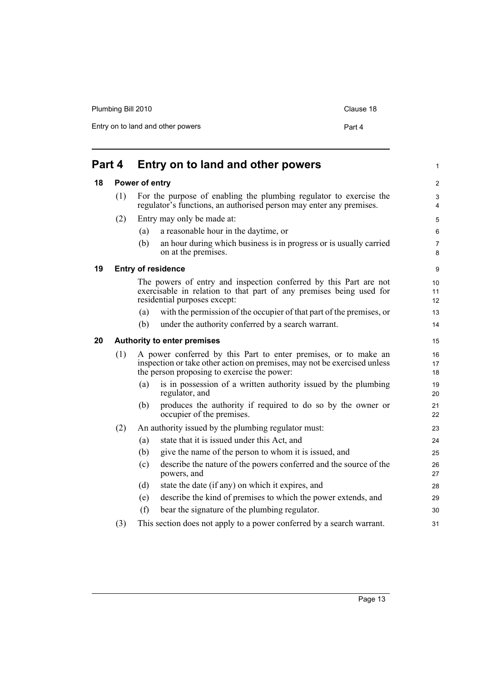| Plumbing Bill 2010                | Clause 18 |  |
|-----------------------------------|-----------|--|
| Entry on to land and other powers | Part 4    |  |
|                                   |           |  |

<span id="page-22-3"></span><span id="page-22-2"></span><span id="page-22-1"></span><span id="page-22-0"></span>

| Part 4 |     |                | Entry on to land and other powers                                                                                                                                                          | 1                       |
|--------|-----|----------------|--------------------------------------------------------------------------------------------------------------------------------------------------------------------------------------------|-------------------------|
| 18     |     | Power of entry |                                                                                                                                                                                            | $\overline{\mathbf{c}}$ |
|        | (1) |                | For the purpose of enabling the plumbing regulator to exercise the<br>regulator's functions, an authorised person may enter any premises.                                                  | 3<br>4                  |
|        | (2) |                | Entry may only be made at:                                                                                                                                                                 | 5                       |
|        |     | (a)            | a reasonable hour in the daytime, or                                                                                                                                                       | 6                       |
|        |     | (b)            | an hour during which business is in progress or is usually carried<br>on at the premises.                                                                                                  | 7<br>8                  |
| 19     |     |                | <b>Entry of residence</b>                                                                                                                                                                  | 9                       |
|        |     |                | The powers of entry and inspection conferred by this Part are not<br>exercisable in relation to that part of any premises being used for<br>residential purposes except:                   | 10<br>11<br>12          |
|        |     | (a)            | with the permission of the occupier of that part of the premises, or                                                                                                                       | 13                      |
|        |     | (b)            | under the authority conferred by a search warrant.                                                                                                                                         | 14                      |
| 20     |     |                | <b>Authority to enter premises</b>                                                                                                                                                         | 15                      |
|        | (1) |                | A power conferred by this Part to enter premises, or to make an<br>inspection or take other action on premises, may not be exercised unless<br>the person proposing to exercise the power: | 16<br>17<br>18          |
|        |     | (a)            | is in possession of a written authority issued by the plumbing<br>regulator, and                                                                                                           | 19<br>20                |
|        |     | (b)            | produces the authority if required to do so by the owner or<br>occupier of the premises.                                                                                                   | 21<br>22                |
|        | (2) |                | An authority issued by the plumbing regulator must:                                                                                                                                        | 23                      |
|        |     | (a)            | state that it is issued under this Act, and                                                                                                                                                | 24                      |
|        |     | (b)            | give the name of the person to whom it is issued, and                                                                                                                                      | 25                      |
|        |     | (c)            | describe the nature of the powers conferred and the source of the<br>powers, and                                                                                                           | 26<br>27                |
|        |     | (d)            | state the date (if any) on which it expires, and                                                                                                                                           | 28                      |
|        |     | (e)            | describe the kind of premises to which the power extends, and                                                                                                                              | 29                      |
|        |     | (f)            | bear the signature of the plumbing regulator.                                                                                                                                              | 30                      |
|        | (3) |                | This section does not apply to a power conferred by a search warrant.                                                                                                                      | 31                      |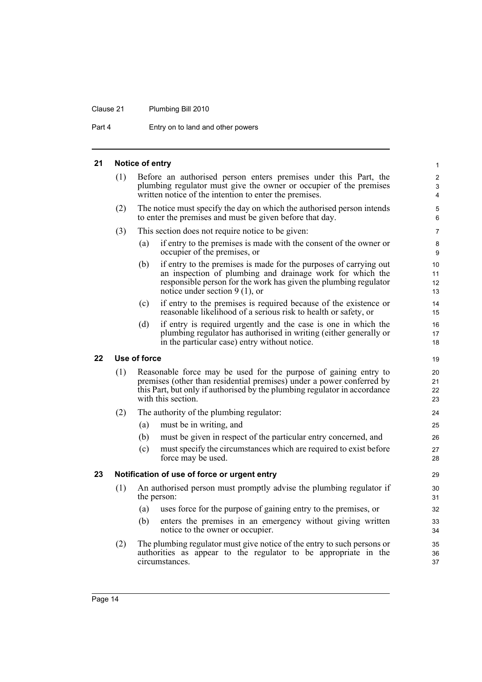### Clause 21 Plumbing Bill 2010

Part 4 Entry on to land and other powers

<span id="page-23-2"></span><span id="page-23-1"></span><span id="page-23-0"></span>

| 21 |     | Notice of entry |                                                                                                                                                                                                                                              | $\mathbf{1}$             |
|----|-----|-----------------|----------------------------------------------------------------------------------------------------------------------------------------------------------------------------------------------------------------------------------------------|--------------------------|
|    | (1) |                 | Before an authorised person enters premises under this Part, the<br>plumbing regulator must give the owner or occupier of the premises<br>written notice of the intention to enter the premises.                                             | $\overline{c}$<br>3<br>4 |
|    | (2) |                 | The notice must specify the day on which the authorised person intends<br>to enter the premises and must be given before that day.                                                                                                           | 5<br>6                   |
|    | (3) |                 | This section does not require notice to be given:                                                                                                                                                                                            | $\overline{7}$           |
|    |     | (a)             | if entry to the premises is made with the consent of the owner or<br>occupier of the premises, or                                                                                                                                            | 8<br>9                   |
|    |     | (b)             | if entry to the premises is made for the purposes of carrying out<br>an inspection of plumbing and drainage work for which the<br>responsible person for the work has given the plumbing regulator<br>notice under section $9(1)$ , or       | 10<br>11<br>12<br>13     |
|    |     | (c)             | if entry to the premises is required because of the existence or<br>reasonable likelihood of a serious risk to health or safety, or                                                                                                          | 14<br>15                 |
|    |     | (d)             | if entry is required urgently and the case is one in which the<br>plumbing regulator has authorised in writing (either generally or<br>in the particular case) entry without notice.                                                         | 16<br>17<br>18           |
| 22 |     | Use of force    |                                                                                                                                                                                                                                              | 19                       |
|    | (1) |                 | Reasonable force may be used for the purpose of gaining entry to<br>premises (other than residential premises) under a power conferred by<br>this Part, but only if authorised by the plumbing regulator in accordance<br>with this section. | 20<br>21<br>22<br>23     |
|    | (2) |                 | The authority of the plumbing regulator:                                                                                                                                                                                                     | 24                       |
|    |     | (a)             | must be in writing, and                                                                                                                                                                                                                      | 25                       |
|    |     | (b)             | must be given in respect of the particular entry concerned, and                                                                                                                                                                              | 26                       |
|    |     | (c)             | must specify the circumstances which are required to exist before<br>force may be used.                                                                                                                                                      | 27<br>28                 |
| 23 |     |                 | Notification of use of force or urgent entry                                                                                                                                                                                                 | 29                       |
|    | (1) |                 | An authorised person must promptly advise the plumbing regulator if<br>the person:                                                                                                                                                           | 30<br>31                 |
|    |     | (a)             | uses force for the purpose of gaining entry to the premises, or                                                                                                                                                                              | 32                       |
|    |     | (b)             | enters the premises in an emergency without giving written<br>notice to the owner or occupier.                                                                                                                                               | 33<br>34                 |
|    | (2) |                 | The plumbing regulator must give notice of the entry to such persons or<br>authorities as appear to the regulator to be appropriate in the<br>circumstances.                                                                                 | 35<br>36<br>37           |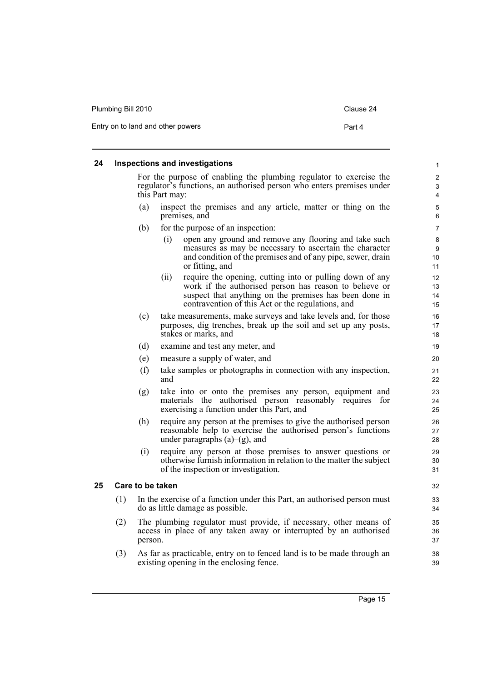| Plumbing Bill 2010                | Clause 24 |
|-----------------------------------|-----------|
| Entry on to land and other powers | Part 4    |

#### <span id="page-24-0"></span>**24 Inspections and investigations**

For the purpose of enabling the plumbing regulator to exercise the regulator's functions, an authorised person who enters premises under this Part may:

- (a) inspect the premises and any article, matter or thing on the premises, and
- (b) for the purpose of an inspection:
	- (i) open any ground and remove any flooring and take such measures as may be necessary to ascertain the character and condition of the premises and of any pipe, sewer, drain or fitting, and
	- (ii) require the opening, cutting into or pulling down of any work if the authorised person has reason to believe or suspect that anything on the premises has been done in contravention of this Act or the regulations, and
- (c) take measurements, make surveys and take levels and, for those purposes, dig trenches, break up the soil and set up any posts, stakes or marks, and
- (d) examine and test any meter, and
- (e) measure a supply of water, and
- (f) take samples or photographs in connection with any inspection, and
- (g) take into or onto the premises any person, equipment and materials the authorised person reasonably requires for exercising a function under this Part, and
- (h) require any person at the premises to give the authorised person reasonable help to exercise the authorised person's functions under paragraphs  $(a)$ – $(g)$ , and
- (i) require any person at those premises to answer questions or otherwise furnish information in relation to the matter the subject of the inspection or investigation.

#### <span id="page-24-1"></span>**25 Care to be taken**

- (1) In the exercise of a function under this Part, an authorised person must do as little damage as possible.
- (2) The plumbing regulator must provide, if necessary, other means of access in place of any taken away or interrupted by an authorised person.
- (3) As far as practicable, entry on to fenced land is to be made through an existing opening in the enclosing fence.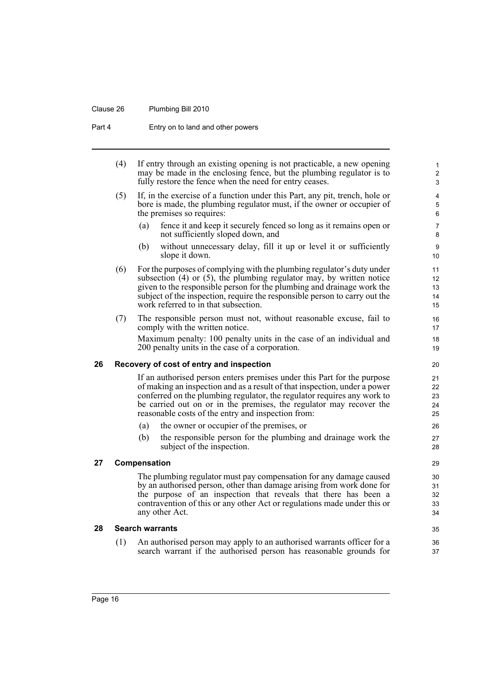#### Clause 26 Plumbing Bill 2010

Part 4 Entry on to land and other powers

- <span id="page-25-2"></span><span id="page-25-1"></span><span id="page-25-0"></span>(4) If entry through an existing opening is not practicable, a new opening may be made in the enclosing fence, but the plumbing regulator is to fully restore the fence when the need for entry ceases. (5) If, in the exercise of a function under this Part, any pit, trench, hole or bore is made, the plumbing regulator must, if the owner or occupier of the premises so requires: (a) fence it and keep it securely fenced so long as it remains open or not sufficiently sloped down, and (b) without unnecessary delay, fill it up or level it or sufficiently slope it down. (6) For the purposes of complying with the plumbing regulator's duty under subsection  $(4)$  or  $(5)$ , the plumbing regulator may, by written notice given to the responsible person for the plumbing and drainage work the subject of the inspection, require the responsible person to carry out the work referred to in that subsection. (7) The responsible person must not, without reasonable excuse, fail to comply with the written notice. Maximum penalty: 100 penalty units in the case of an individual and 200 penalty units in the case of a corporation. **26 Recovery of cost of entry and inspection** If an authorised person enters premises under this Part for the purpose of making an inspection and as a result of that inspection, under a power conferred on the plumbing regulator, the regulator requires any work to be carried out on or in the premises, the regulator may recover the reasonable costs of the entry and inspection from: (a) the owner or occupier of the premises, or (b) the responsible person for the plumbing and drainage work the subject of the inspection. **27 Compensation** The plumbing regulator must pay compensation for any damage caused by an authorised person, other than damage arising from work done for the purpose of an inspection that reveals that there has been a contravention of this or any other Act or regulations made under this or any other Act. **28 Search warrants** 1  $\overline{2}$ 3 4 5 6 7 8 9 10 11 12 13 14 15 16 17 18 19 20 21 22 23 24 25 26 27 28 29 30 31 32 33 34 35 36
	- (1) An authorised person may apply to an authorised warrants officer for a search warrant if the authorised person has reasonable grounds for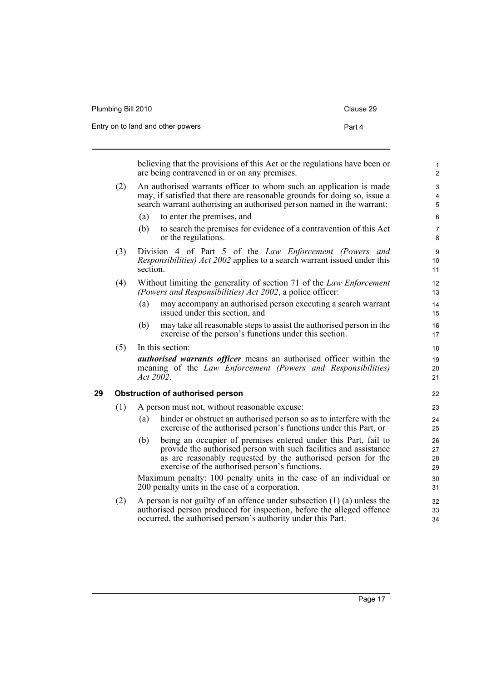| Plumbing Bill 2010                | Clause 29 |
|-----------------------------------|-----------|
| Entry on to land and other powers | Part 4    |

believing that the provisions of this Act or the regulations have been or are being contravened in or on any premises.

- (2) An authorised warrants officer to whom such an application is made may, if satisfied that there are reasonable grounds for doing so, issue a search warrant authorising an authorised person named in the warrant:
	- (a) to enter the premises, and
	- (b) to search the premises for evidence of a contravention of this Act or the regulations.
- (3) Division 4 of Part 5 of the *Law Enforcement (Powers and Responsibilities) Act 2002* applies to a search warrant issued under this section.
- (4) Without limiting the generality of section 71 of the *Law Enforcement (Powers and Responsibilities) Act 2002*, a police officer:
	- (a) may accompany an authorised person executing a search warrant issued under this section, and
	- (b) may take all reasonable steps to assist the authorised person in the exercise of the person's functions under this section.

(5) In this section:

*authorised warrants officer* means an authorised officer within the meaning of the *Law Enforcement (Powers and Responsibilities) Act 2002*.

#### <span id="page-26-0"></span>**29 Obstruction of authorised person**

- (1) A person must not, without reasonable excuse:
	- (a) hinder or obstruct an authorised person so as to interfere with the exercise of the authorised person's functions under this Part, or
	- (b) being an occupier of premises entered under this Part, fail to provide the authorised person with such facilities and assistance as are reasonably requested by the authorised person for the exercise of the authorised person's functions.

Maximum penalty: 100 penalty units in the case of an individual or 200 penalty units in the case of a corporation.

(2) A person is not guilty of an offence under subsection (1) (a) unless the authorised person produced for inspection, before the alleged offence occurred, the authorised person's authority under this Part.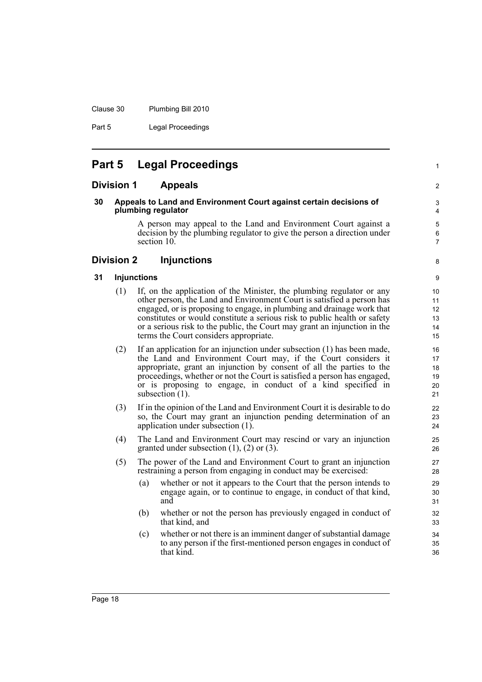Clause 30 Plumbing Bill 2010

Part 5 Legal Proceedings

### <span id="page-27-0"></span>**Part 5 Legal Proceedings**

#### <span id="page-27-1"></span>**Division 1 Appeals**

#### <span id="page-27-2"></span>**30 Appeals to Land and Environment Court against certain decisions of plumbing regulator**

A person may appeal to the Land and Environment Court against a decision by the plumbing regulator to give the person a direction under section 10.

#### <span id="page-27-3"></span>**Division 2 Injunctions**

#### <span id="page-27-4"></span>**31 Injunctions**

- (1) If, on the application of the Minister, the plumbing regulator or any other person, the Land and Environment Court is satisfied a person has engaged, or is proposing to engage, in plumbing and drainage work that constitutes or would constitute a serious risk to public health or safety or a serious risk to the public, the Court may grant an injunction in the terms the Court considers appropriate.
- (2) If an application for an injunction under subsection (1) has been made, the Land and Environment Court may, if the Court considers it appropriate, grant an injunction by consent of all the parties to the proceedings, whether or not the Court is satisfied a person has engaged, or is proposing to engage, in conduct of a kind specified in subsection  $(1)$ .
- (3) If in the opinion of the Land and Environment Court it is desirable to do so, the Court may grant an injunction pending determination of an application under subsection (1).
- (4) The Land and Environment Court may rescind or vary an injunction granted under subsection (1), (2) or (3).
- (5) The power of the Land and Environment Court to grant an injunction restraining a person from engaging in conduct may be exercised:
	- (a) whether or not it appears to the Court that the person intends to engage again, or to continue to engage, in conduct of that kind, and
	- (b) whether or not the person has previously engaged in conduct of that kind, and
	- (c) whether or not there is an imminent danger of substantial damage to any person if the first-mentioned person engages in conduct of that kind.

8

1

2

9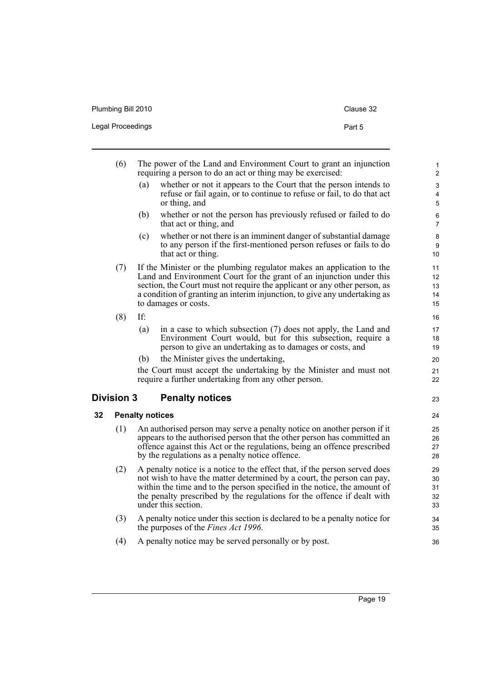| Plumbing Bill 2010 | Clause 32 |
|--------------------|-----------|
| Legal Proceedings  | Part 5    |

<span id="page-28-1"></span><span id="page-28-0"></span>

|    | (6)               |                        | The power of the Land and Environment Court to grant an injunction<br>requiring a person to do an act or thing may be exercised:                                                                                                                                                                                                   | 1<br>$\mathbf{2}$                                        |
|----|-------------------|------------------------|------------------------------------------------------------------------------------------------------------------------------------------------------------------------------------------------------------------------------------------------------------------------------------------------------------------------------------|----------------------------------------------------------|
|    |                   | (a)                    | whether or not it appears to the Court that the person intends to<br>refuse or fail again, or to continue to refuse or fail, to do that act<br>or thing, and                                                                                                                                                                       | $\mathfrak{S}$<br>$\overline{\mathbf{4}}$<br>$\mathbf 5$ |
|    |                   | (b)                    | whether or not the person has previously refused or failed to do<br>that act or thing, and                                                                                                                                                                                                                                         | $\,6\,$<br>$\overline{7}$                                |
|    |                   | (c)                    | whether or not there is an imminent danger of substantial damage<br>to any person if the first-mentioned person refuses or fails to do<br>that act or thing.                                                                                                                                                                       | $\bf 8$<br>9<br>10                                       |
|    | (7)               |                        | If the Minister or the plumbing regulator makes an application to the<br>Land and Environment Court for the grant of an injunction under this<br>section, the Court must not require the applicant or any other person, as<br>a condition of granting an interim injunction, to give any undertaking as<br>to damages or costs.    | 11<br>12<br>13<br>14<br>15                               |
|    | (8)               | If:                    |                                                                                                                                                                                                                                                                                                                                    | 16                                                       |
|    |                   | (a)                    | in a case to which subsection $(7)$ does not apply, the Land and<br>Environment Court would, but for this subsection, require a<br>person to give an undertaking as to damages or costs, and                                                                                                                                       | 17<br>18<br>19                                           |
|    |                   | (b)                    | the Minister gives the undertaking,                                                                                                                                                                                                                                                                                                | 20                                                       |
|    |                   |                        | the Court must accept the undertaking by the Minister and must not<br>require a further undertaking from any other person.                                                                                                                                                                                                         | 21<br>22                                                 |
|    |                   |                        |                                                                                                                                                                                                                                                                                                                                    |                                                          |
|    | <b>Division 3</b> |                        | <b>Penalty notices</b>                                                                                                                                                                                                                                                                                                             | 23                                                       |
| 32 |                   | <b>Penalty notices</b> |                                                                                                                                                                                                                                                                                                                                    | 24                                                       |
|    | (1)               |                        | An authorised person may serve a penalty notice on another person if it<br>appears to the authorised person that the other person has committed an<br>offence against this Act or the regulations, being an offence prescribed<br>by the regulations as a penalty notice offence.                                                  | 25<br>26<br>27<br>28                                     |
|    | (2)               |                        | A penalty notice is a notice to the effect that, if the person served does<br>not wish to have the matter determined by a court, the person can pay,<br>within the time and to the person specified in the notice, the amount of<br>the penalty prescribed by the regulations for the offence if dealt with<br>under this section. | 29<br>30<br>31<br>32<br>33                               |
|    | (3)               |                        | A penalty notice under this section is declared to be a penalty notice for<br>the purposes of the <i>Fines Act 1996</i> .                                                                                                                                                                                                          | 34<br>35                                                 |
|    | (4)               |                        | A penalty notice may be served personally or by post.                                                                                                                                                                                                                                                                              | 36                                                       |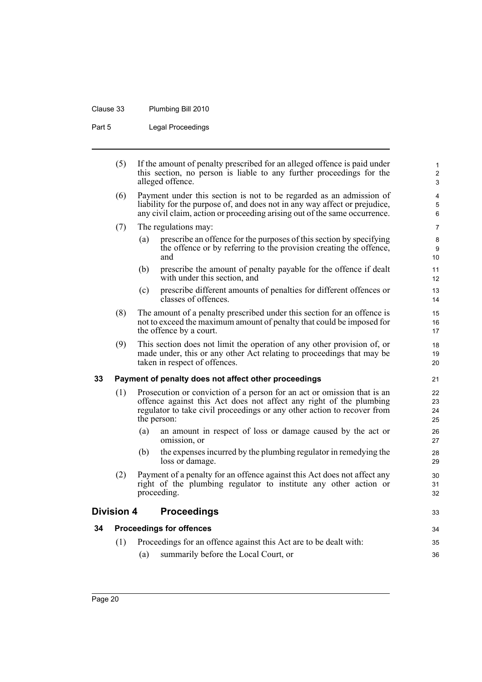### Clause 33 Plumbing Bill 2010

Part 5 Legal Proceedings

|    | (5)               | alleged offence.                    | If the amount of penalty prescribed for an alleged offence is paid under<br>this section, no person is liable to any further proceedings for the                                                                               | $\mathbf{1}$<br>$\overline{2}$<br>3 |
|----|-------------------|-------------------------------------|--------------------------------------------------------------------------------------------------------------------------------------------------------------------------------------------------------------------------------|-------------------------------------|
|    | (6)               |                                     | Payment under this section is not to be regarded as an admission of<br>liability for the purpose of, and does not in any way affect or prejudice,<br>any civil claim, action or proceeding arising out of the same occurrence. | 4<br>$5\phantom{.0}$<br>6           |
|    | (7)               | The regulations may:                |                                                                                                                                                                                                                                | $\overline{7}$                      |
|    |                   | (a)<br>and                          | prescribe an offence for the purposes of this section by specifying<br>the offence or by referring to the provision creating the offence,                                                                                      | 8<br>9<br>10 <sup>°</sup>           |
|    |                   | (b)<br>with under this section, and | prescribe the amount of penalty payable for the offence if dealt                                                                                                                                                               | 11<br>12 <sup>2</sup>               |
|    |                   | (c)<br>classes of offences.         | prescribe different amounts of penalties for different offences or                                                                                                                                                             | 13<br>14                            |
|    | (8)               | the offence by a court.             | The amount of a penalty prescribed under this section for an offence is<br>not to exceed the maximum amount of penalty that could be imposed for                                                                               | 15<br>16<br>17                      |
|    | (9)               | taken in respect of offences.       | This section does not limit the operation of any other provision of, or<br>made under, this or any other Act relating to proceedings that may be                                                                               | 18<br>19<br>20                      |
| 33 |                   |                                     | Payment of penalty does not affect other proceedings                                                                                                                                                                           | 21                                  |
|    | (1)               | the person:                         | Prosecution or conviction of a person for an act or omission that is an<br>offence against this Act does not affect any right of the plumbing<br>regulator to take civil proceedings or any other action to recover from       | 22<br>23<br>24<br>25                |
|    |                   | (a)<br>omission, or                 | an amount in respect of loss or damage caused by the act or                                                                                                                                                                    | 26<br>27                            |
|    |                   | (b)<br>loss or damage.              | the expenses incurred by the plumbing regulator in remedying the                                                                                                                                                               | 28<br>29                            |
|    | (2)               | proceeding.                         | Payment of a penalty for an offence against this Act does not affect any<br>right of the plumbing regulator to institute any other action or                                                                                   | 30<br>31<br>32                      |
|    | <b>Division 4</b> | <b>Proceedings</b>                  |                                                                                                                                                                                                                                | 33                                  |
| 34 |                   | <b>Proceedings for offences</b>     |                                                                                                                                                                                                                                | 34                                  |
|    | (1)               |                                     | Proceedings for an offence against this Act are to be dealt with:                                                                                                                                                              | 35                                  |

36

<span id="page-29-2"></span><span id="page-29-1"></span><span id="page-29-0"></span>(a) summarily before the Local Court, or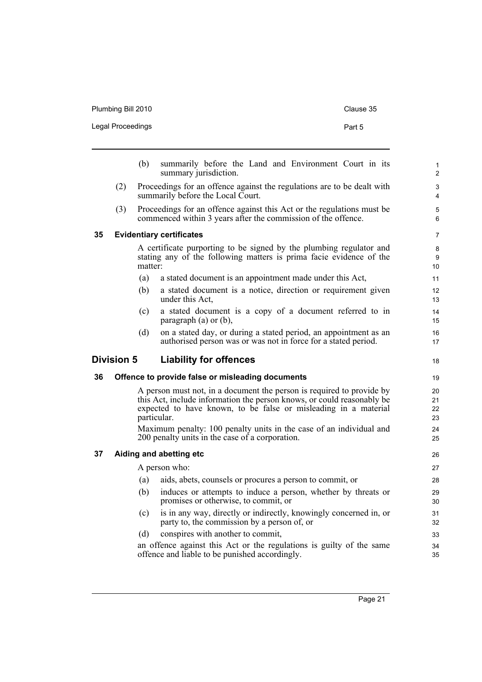| Plumbing Bill 2010 | Clause 35 |
|--------------------|-----------|
| Legal Proceedings  | Part 5    |
|                    |           |

<span id="page-30-3"></span><span id="page-30-2"></span><span id="page-30-1"></span><span id="page-30-0"></span>

|                                                    |     | (b)     | summarily before the Land and Environment Court in its<br>summary jurisdiction.                                                                                                                                                                                                                                                                             | $\mathbf{1}$<br>$\overline{2}$   |  |
|----------------------------------------------------|-----|---------|-------------------------------------------------------------------------------------------------------------------------------------------------------------------------------------------------------------------------------------------------------------------------------------------------------------------------------------------------------------|----------------------------------|--|
|                                                    | (2) |         | Proceedings for an offence against the regulations are to be dealt with<br>summarily before the Local Court.                                                                                                                                                                                                                                                | 3<br>4                           |  |
|                                                    | (3) |         | Proceedings for an offence against this Act or the regulations must be<br>commenced within 3 years after the commission of the offence.                                                                                                                                                                                                                     | 5<br>6                           |  |
| 35                                                 |     |         | <b>Evidentiary certificates</b>                                                                                                                                                                                                                                                                                                                             | $\overline{7}$                   |  |
|                                                    |     | matter: | A certificate purporting to be signed by the plumbing regulator and<br>stating any of the following matters is prima facie evidence of the                                                                                                                                                                                                                  | 8<br>9<br>10                     |  |
|                                                    |     | (a)     | a stated document is an appointment made under this Act,                                                                                                                                                                                                                                                                                                    | 11                               |  |
|                                                    |     | (b)     | a stated document is a notice, direction or requirement given<br>under this Act.                                                                                                                                                                                                                                                                            | 12<br>13                         |  |
|                                                    |     | (c)     | a stated document is a copy of a document referred to in<br>paragraph $(a)$ or $(b)$ ,                                                                                                                                                                                                                                                                      | 14<br>15                         |  |
|                                                    |     | (d)     | on a stated day, or during a stated period, an appointment as an<br>authorised person was or was not in force for a stated period.                                                                                                                                                                                                                          | 16<br>17                         |  |
| <b>Division 5</b><br><b>Liability for offences</b> |     |         |                                                                                                                                                                                                                                                                                                                                                             |                                  |  |
| 36                                                 |     |         | Offence to provide false or misleading documents                                                                                                                                                                                                                                                                                                            | 19                               |  |
|                                                    |     |         | A person must not, in a document the person is required to provide by<br>this Act, include information the person knows, or could reasonably be<br>expected to have known, to be false or misleading in a material<br>particular.<br>Maximum penalty: 100 penalty units in the case of an individual and<br>200 penalty units in the case of a corporation. | 20<br>21<br>22<br>23<br>24<br>25 |  |
|                                                    |     |         |                                                                                                                                                                                                                                                                                                                                                             |                                  |  |
| 37                                                 |     |         | Aiding and abetting etc                                                                                                                                                                                                                                                                                                                                     | 26                               |  |
|                                                    |     |         | A person who:                                                                                                                                                                                                                                                                                                                                               | 27                               |  |
|                                                    |     | (a)     | aids, abets, counsels or procures a person to commit, or                                                                                                                                                                                                                                                                                                    | 28                               |  |
|                                                    |     | (b)     | induces or attempts to induce a person, whether by threats or<br>promises or otherwise, to commit, or                                                                                                                                                                                                                                                       | 29<br>30                         |  |
|                                                    |     | (c)     | is in any way, directly or indirectly, knowingly concerned in, or<br>party to, the commission by a person of, or                                                                                                                                                                                                                                            | 31<br>32                         |  |
|                                                    |     | (d)     | conspires with another to commit,                                                                                                                                                                                                                                                                                                                           | 33                               |  |
|                                                    |     |         | an offence against this Act or the regulations is guilty of the same<br>offence and liable to be punished accordingly.                                                                                                                                                                                                                                      | 34<br>35                         |  |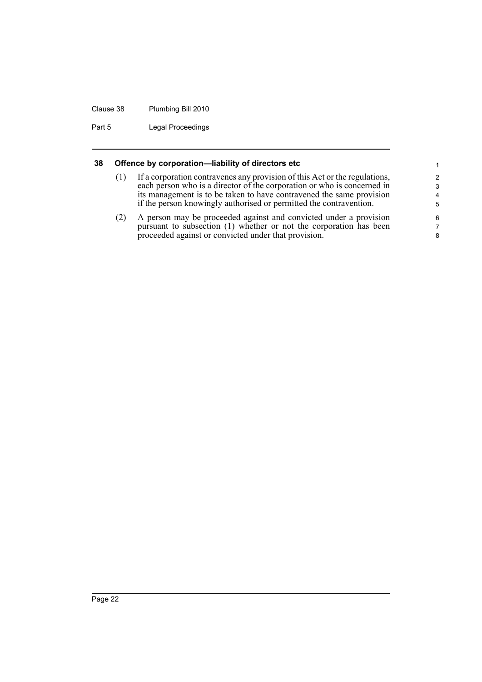#### Clause 38 Plumbing Bill 2010

Part 5 Legal Proceedings

#### <span id="page-31-0"></span>**38 Offence by corporation—liability of directors etc**

(1) If a corporation contravenes any provision of this Act or the regulations, each person who is a director of the corporation or who is concerned in its management is to be taken to have contravened the same provision if the person knowingly authorised or permitted the contravention.

(2) A person may be proceeded against and convicted under a provision pursuant to subsection (1) whether or not the corporation has been proceeded against or convicted under that provision.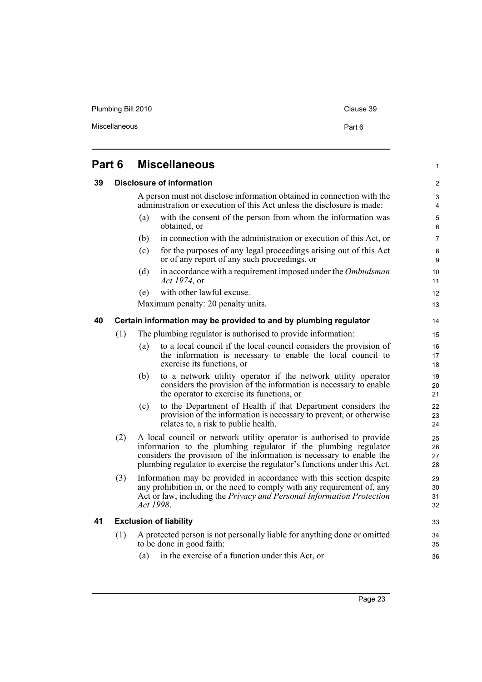Plumbing Bill 2010 Clause 39

1

### <span id="page-32-0"></span>**Part 6 Miscellaneous**

#### <span id="page-32-1"></span>**39 Disclosure of information**

A person must not disclose information obtained in connection with the administration or execution of this Act unless the disclosure is made:

- (a) with the consent of the person from whom the information was obtained, or (b) in connection with the administration or execution of this Act, or
- (c) for the purposes of any legal proceedings arising out of this Act or of any report of any such proceedings, or
- (d) in accordance with a requirement imposed under the *Ombudsman Act 1974*, or
- (e) with other lawful excuse.

Maximum penalty: 20 penalty units.

#### <span id="page-32-2"></span>**40 Certain information may be provided to and by plumbing regulator**

- (1) The plumbing regulator is authorised to provide information:
	- (a) to a local council if the local council considers the provision of the information is necessary to enable the local council to exercise its functions, or
	- (b) to a network utility operator if the network utility operator considers the provision of the information is necessary to enable the operator to exercise its functions, or
	- (c) to the Department of Health if that Department considers the provision of the information is necessary to prevent, or otherwise relates to, a risk to public health.
- (2) A local council or network utility operator is authorised to provide information to the plumbing regulator if the plumbing regulator considers the provision of the information is necessary to enable the plumbing regulator to exercise the regulator's functions under this Act.
- (3) Information may be provided in accordance with this section despite any prohibition in, or the need to comply with any requirement of, any Act or law, including the *Privacy and Personal Information Protection Act 1998*.

#### <span id="page-32-3"></span>**41 Exclusion of liability**

- (1) A protected person is not personally liable for anything done or omitted to be done in good faith:
	- (a) in the exercise of a function under this Act, or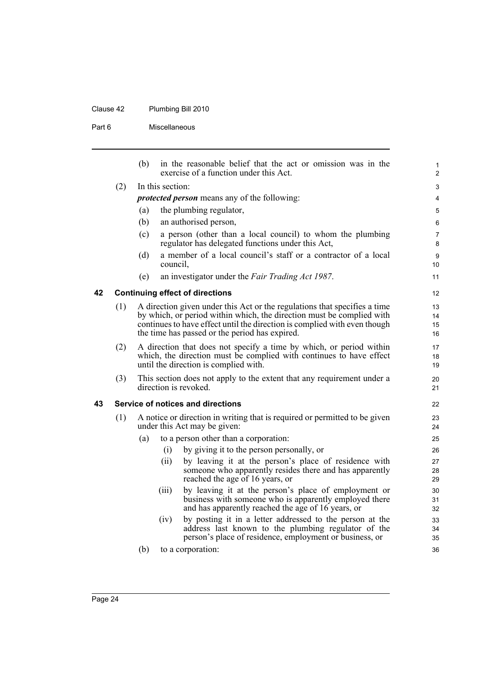### Clause 42 Plumbing Bill 2010

Part 6 Miscellaneous

<span id="page-33-1"></span><span id="page-33-0"></span>

|    |     | (b)                                                                 |                  | in the reasonable belief that the act or omission was in the<br>exercise of a function under this Act.                                                                     | $\mathbf{1}$<br>$\overline{2}$ |
|----|-----|---------------------------------------------------------------------|------------------|----------------------------------------------------------------------------------------------------------------------------------------------------------------------------|--------------------------------|
|    | (2) |                                                                     | In this section: |                                                                                                                                                                            | 3                              |
|    |     |                                                                     |                  | <i>protected person</i> means any of the following:                                                                                                                        | $\overline{4}$                 |
|    |     | (a)                                                                 |                  | the plumbing regulator,                                                                                                                                                    | 5                              |
|    |     | (b)                                                                 |                  | an authorised person,                                                                                                                                                      | 6                              |
|    |     | (c)                                                                 |                  | a person (other than a local council) to whom the plumbing<br>regulator has delegated functions under this Act,                                                            | $\overline{7}$<br>8            |
|    |     | (d)                                                                 | council,         | a member of a local council's staff or a contractor of a local                                                                                                             | 9<br>10                        |
|    |     | (e)                                                                 |                  | an investigator under the Fair Trading Act 1987.                                                                                                                           | 11                             |
| 42 |     |                                                                     |                  | <b>Continuing effect of directions</b>                                                                                                                                     | 12                             |
|    | (1) |                                                                     |                  | A direction given under this Act or the regulations that specifies a time                                                                                                  | 13                             |
|    |     |                                                                     |                  | by which, or period within which, the direction must be complied with<br>continues to have effect until the direction is complied with even though                         | 14<br>15                       |
|    |     |                                                                     |                  | the time has passed or the period has expired.                                                                                                                             | 16                             |
|    | (2) | A direction that does not specify a time by which, or period within |                  | 17                                                                                                                                                                         |                                |
|    |     |                                                                     |                  | which, the direction must be complied with continues to have effect<br>until the direction is complied with.                                                               | 18<br>19                       |
|    | (3) |                                                                     |                  | This section does not apply to the extent that any requirement under a<br>direction is revoked.                                                                            | 20<br>21                       |
| 43 |     |                                                                     |                  | Service of notices and directions                                                                                                                                          | 22                             |
|    | (1) |                                                                     |                  | A notice or direction in writing that is required or permitted to be given<br>under this Act may be given:                                                                 | 23<br>24                       |
|    |     | (a)                                                                 |                  | to a person other than a corporation:                                                                                                                                      | 25                             |
|    |     |                                                                     | (i)              | by giving it to the person personally, or                                                                                                                                  | 26                             |
|    |     |                                                                     | (ii)             | by leaving it at the person's place of residence with<br>someone who apparently resides there and has apparently<br>reached the age of 16 years, or                        | 27<br>28<br>29                 |
|    |     |                                                                     | (iii)            | by leaving it at the person's place of employment or<br>business with someone who is apparently employed there<br>and has apparently reached the age of 16 years, or       | 30<br>31<br>32                 |
|    |     |                                                                     | (iv)             | by posting it in a letter addressed to the person at the<br>address last known to the plumbing regulator of the<br>person's place of residence, employment or business, or | 33<br>34<br>35                 |
|    |     | (b)                                                                 |                  | to a corporation:                                                                                                                                                          | 36                             |
|    |     |                                                                     |                  |                                                                                                                                                                            |                                |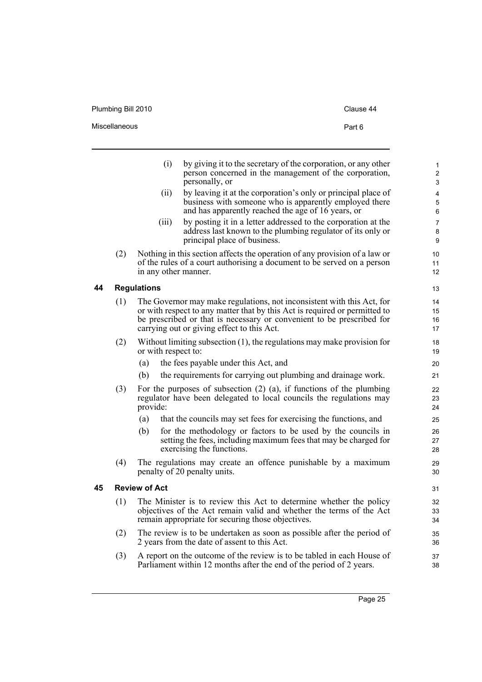Plumbing Bill 2010 Clause 44

|    |     | (i)                  | by giving it to the secretary of the corporation, or any other<br>person concerned in the management of the corporation,<br>personally, or                                                                                                                                  |
|----|-----|----------------------|-----------------------------------------------------------------------------------------------------------------------------------------------------------------------------------------------------------------------------------------------------------------------------|
|    |     | (ii)                 | by leaving it at the corporation's only or principal place of<br>business with someone who is apparently employed there<br>and has apparently reached the age of 16 years, or                                                                                               |
|    |     | (iii)                | by posting it in a letter addressed to the corporation at the<br>address last known to the plumbing regulator of its only or<br>principal place of business.                                                                                                                |
|    | (2) | in any other manner. | Nothing in this section affects the operation of any provision of a law or<br>of the rules of a court authorising a document to be served on a person                                                                                                                       |
| 44 |     | <b>Regulations</b>   |                                                                                                                                                                                                                                                                             |
|    | (1) |                      | The Governor may make regulations, not inconsistent with this Act, for<br>or with respect to any matter that by this Act is required or permitted to<br>be prescribed or that is necessary or convenient to be prescribed for<br>carrying out or giving effect to this Act. |
|    | (2) | or with respect to:  | Without limiting subsection $(1)$ , the regulations may make provision for                                                                                                                                                                                                  |

- <span id="page-34-0"></span>(a) the fees payable under this Act, and
- (b) the requirements for carrying out plumbing and drainage work.
- (3) For the purposes of subsection (2) (a), if functions of the plumbing regulator have been delegated to local councils the regulations may provide:
	- (a) that the councils may set fees for exercising the functions, and
	- (b) for the methodology or factors to be used by the councils in setting the fees, including maximum fees that may be charged for exercising the functions.
- (4) The regulations may create an offence punishable by a maximum penalty of 20 penalty units.

#### <span id="page-34-1"></span>**45 Review of Act**

- (1) The Minister is to review this Act to determine whether the policy objectives of the Act remain valid and whether the terms of the Act remain appropriate for securing those objectives.
- (2) The review is to be undertaken as soon as possible after the period of 2 years from the date of assent to this Act.
- (3) A report on the outcome of the review is to be tabled in each House of Parliament within 12 months after the end of the period of 2 years.

Page 25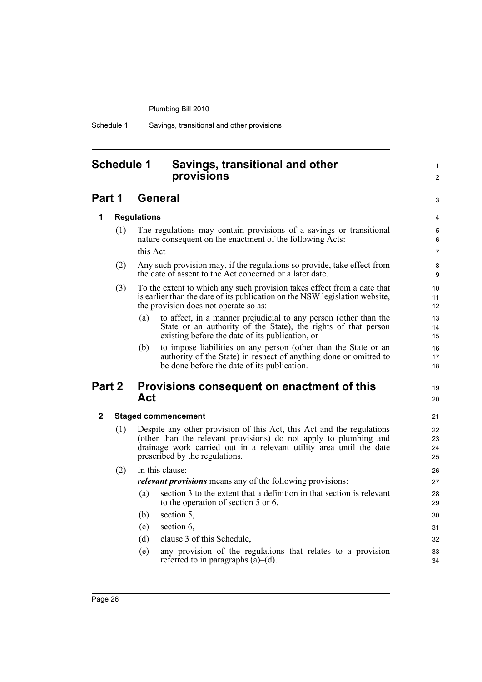Schedule 1 Savings, transitional and other provisions

### <span id="page-35-0"></span>**Schedule 1 Savings, transitional and other provisions**

### **Part 1 General**

#### **1 Regulations**

(1) The regulations may contain provisions of a savings or transitional nature consequent on the enactment of the following Acts: this Act

1  $\mathfrak{p}$ 

3

19  $20$ 

- (2) Any such provision may, if the regulations so provide, take effect from the date of assent to the Act concerned or a later date.
- (3) To the extent to which any such provision takes effect from a date that is earlier than the date of its publication on the NSW legislation website, the provision does not operate so as:
	- (a) to affect, in a manner prejudicial to any person (other than the State or an authority of the State), the rights of that person existing before the date of its publication, or
	- (b) to impose liabilities on any person (other than the State or an authority of the State) in respect of anything done or omitted to be done before the date of its publication.

### **Part 2 Provisions consequent on enactment of this Act**

#### **2 Staged commencement**

(1) Despite any other provision of this Act, this Act and the regulations (other than the relevant provisions) do not apply to plumbing and drainage work carried out in a relevant utility area until the date prescribed by the regulations.

#### (2) In this clause:

*relevant provisions* means any of the following provisions:

- (a) section 3 to the extent that a definition in that section is relevant to the operation of section 5 or 6,
- (b) section 5,
- (c) section 6,
- (d) clause 3 of this Schedule,
- (e) any provision of the regulations that relates to a provision referred to in paragraphs  $(a)$ – $(d)$ .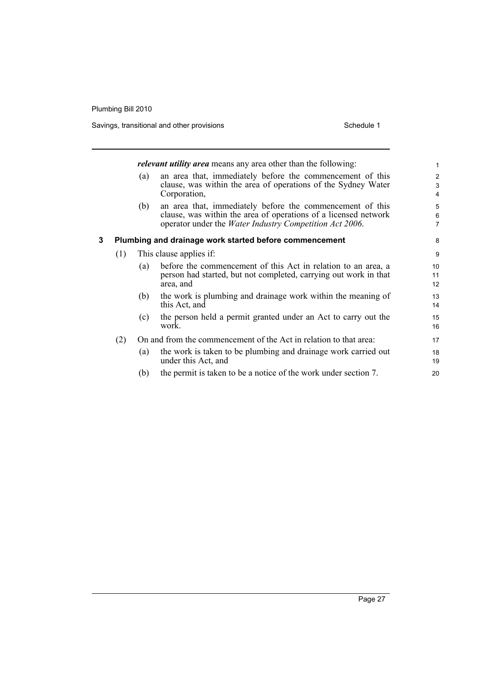Savings, transitional and other provisions Schedule 1 Schedule 1

|   |     |     | <i>relevant utility area</i> means any area other than the following:                                                                                                                           | $\mathbf{1}$                        |
|---|-----|-----|-------------------------------------------------------------------------------------------------------------------------------------------------------------------------------------------------|-------------------------------------|
|   |     | (a) | an area that, immediately before the commencement of this<br>clause, was within the area of operations of the Sydney Water<br>Corporation,                                                      | $\mathbf{2}$<br>3<br>$\overline{4}$ |
|   |     | (b) | an area that, immediately before the commencement of this<br>clause, was within the area of operations of a licensed network<br>operator under the <i>Water Industry Competition Act 2006</i> . | 5<br>6<br>$\overline{7}$            |
| 3 |     |     | Plumbing and drainage work started before commencement                                                                                                                                          | 8                                   |
|   | (1) |     | This clause applies if:                                                                                                                                                                         | 9                                   |
|   |     | (a) | before the commencement of this Act in relation to an area, a<br>person had started, but not completed, carrying out work in that<br>area, and                                                  | 10<br>11<br>12                      |
|   |     | (b) | the work is plumbing and drainage work within the meaning of<br>this Act, and                                                                                                                   | 13<br>14                            |
|   |     | (c) | the person held a permit granted under an Act to carry out the<br>work.                                                                                                                         | 15<br>16                            |
|   | (2) |     | On and from the commencement of the Act in relation to that area:                                                                                                                               | 17                                  |
|   |     | (a) | the work is taken to be plumbing and drainage work carried out<br>under this Act, and                                                                                                           | 18<br>19                            |
|   |     | (b) | the permit is taken to be a notice of the work under section 7.                                                                                                                                 | 20                                  |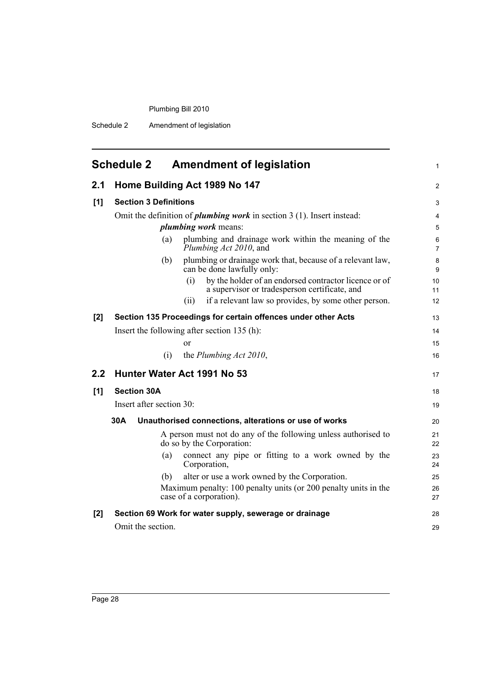Schedule 2 Amendment of legislation

<span id="page-37-0"></span>

|       | <b>Schedule 2</b>            | <b>Amendment of legislation</b>                                                                               | 1                   |
|-------|------------------------------|---------------------------------------------------------------------------------------------------------------|---------------------|
| 2.1   |                              | Home Building Act 1989 No 147                                                                                 | 2                   |
| [1]   | <b>Section 3 Definitions</b> |                                                                                                               | 3                   |
|       |                              | Omit the definition of <i>plumbing work</i> in section $3(1)$ . Insert instead:                               | 4                   |
|       |                              | <i>plumbing work</i> means:                                                                                   | 5                   |
|       | (a)                          | plumbing and drainage work within the meaning of the<br>Plumbing Act 2010, and                                | 6<br>$\overline{7}$ |
|       | (b)                          | plumbing or drainage work that, because of a relevant law,<br>can be done lawfully only:                      | 8<br>9              |
|       |                              | by the holder of an endorsed contractor licence or of<br>(i)<br>a supervisor or tradesperson certificate, and | 10<br>11            |
|       |                              | if a relevant law so provides, by some other person.<br>(ii)                                                  | 12                  |
| [2]   |                              | Section 135 Proceedings for certain offences under other Acts                                                 | 13                  |
|       |                              | Insert the following after section $135$ (h):                                                                 | 14                  |
|       |                              | or                                                                                                            | 15                  |
|       | (i)                          | the Plumbing Act 2010,                                                                                        | 16                  |
| 2.2   |                              | Hunter Water Act 1991 No 53                                                                                   | 17                  |
| [1]   | <b>Section 30A</b>           |                                                                                                               | 18                  |
|       | Insert after section 30:     |                                                                                                               | 19                  |
|       | 30A                          | Unauthorised connections, alterations or use of works                                                         | 20                  |
|       |                              | A person must not do any of the following unless authorised to<br>do so by the Corporation:                   | 21<br>22            |
|       | (a)                          | connect any pipe or fitting to a work owned by the<br>Corporation,                                            | 23<br>24            |
|       | (b)                          | alter or use a work owned by the Corporation.                                                                 | 25                  |
|       |                              | Maximum penalty: 100 penalty units (or 200 penalty units in the<br>case of a corporation).                    | 26<br>27            |
| $[2]$ |                              | Section 69 Work for water supply, sewerage or drainage                                                        | 28                  |
|       | Omit the section.            |                                                                                                               | 29                  |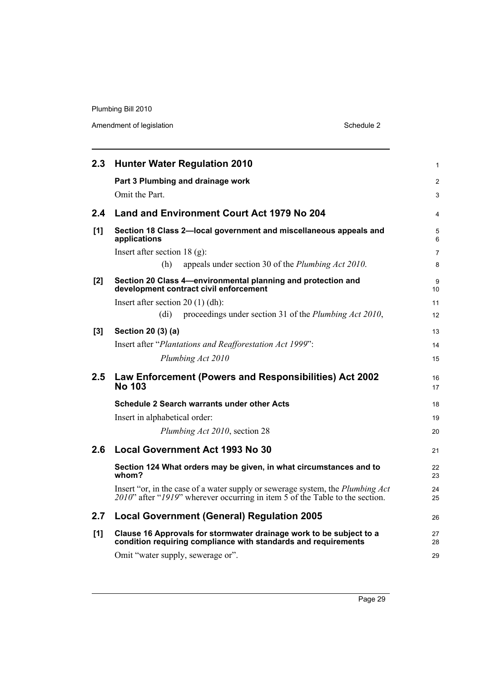Amendment of legislation Schedule 2

| 2.3   | <b>Hunter Water Regulation 2010</b>                                                                                                                            | $\mathbf{1}$         |
|-------|----------------------------------------------------------------------------------------------------------------------------------------------------------------|----------------------|
|       | Part 3 Plumbing and drainage work                                                                                                                              | 2                    |
|       | Omit the Part.                                                                                                                                                 | 3                    |
| 2.4   | Land and Environment Court Act 1979 No 204                                                                                                                     | 4                    |
| [1]   | Section 18 Class 2-local government and miscellaneous appeals and<br>applications                                                                              | 5<br>6               |
|       | Insert after section $18$ (g):                                                                                                                                 | $\overline{7}$       |
|       | (h)<br>appeals under section 30 of the <i>Plumbing Act 2010</i> .                                                                                              | 8                    |
| $[2]$ | Section 20 Class 4-environmental planning and protection and<br>development contract civil enforcement                                                         | 9<br>10 <sup>1</sup> |
|       | Insert after section $20(1)(dh)$ :                                                                                                                             | 11                   |
|       | proceedings under section 31 of the Plumbing Act 2010,<br>(d <sub>i</sub> )                                                                                    | 12                   |
| [3]   | Section 20 (3) (a)                                                                                                                                             | 13                   |
|       | Insert after "Plantations and Reafforestation Act 1999":                                                                                                       | 14                   |
|       | Plumbing Act 2010                                                                                                                                              | 15                   |
| 2.5   | Law Enforcement (Powers and Responsibilities) Act 2002<br><b>No 103</b>                                                                                        | 16<br>17             |
|       | Schedule 2 Search warrants under other Acts                                                                                                                    | 18                   |
|       | Insert in alphabetical order:                                                                                                                                  | 19                   |
|       | Plumbing Act 2010, section 28                                                                                                                                  | 20                   |
| 2.6   | <b>Local Government Act 1993 No 30</b>                                                                                                                         | 21                   |
|       | Section 124 What orders may be given, in what circumstances and to<br>whom?                                                                                    | 22<br>23             |
|       | Insert "or, in the case of a water supply or sewerage system, the Plumbing Act<br>2010" after "1919" wherever occurring in item 5 of the Table to the section. | 24<br>25             |
| 2.7   | <b>Local Government (General) Regulation 2005</b>                                                                                                              | 26                   |
| [1]   | Clause 16 Approvals for stormwater drainage work to be subject to a<br>condition requiring compliance with standards and requirements                          | 27<br>28             |
|       | Omit "water supply, sewerage or".                                                                                                                              | 29                   |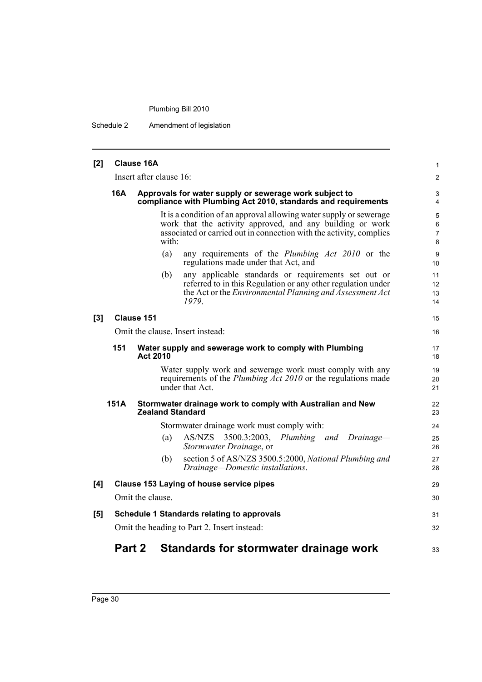Schedule 2 Amendment of legislation

| [2] |        | <b>Clause 16A</b>       |                                                                                                                                                                                                        |                      |
|-----|--------|-------------------------|--------------------------------------------------------------------------------------------------------------------------------------------------------------------------------------------------------|----------------------|
|     |        | Insert after clause 16: |                                                                                                                                                                                                        |                      |
|     | 16A    |                         | Approvals for water supply or sewerage work subject to<br>compliance with Plumbing Act 2010, standards and requirements                                                                                |                      |
|     |        | with:                   | It is a condition of an approval allowing water supply or sewerage<br>work that the activity approved, and any building or work<br>associated or carried out in connection with the activity, complies | $\,6\,$              |
|     |        | (a)                     | any requirements of the <i>Plumbing Act 2010</i> or the<br>regulations made under that Act, and                                                                                                        | 9<br>10              |
|     |        | (b)                     | any applicable standards or requirements set out or<br>referred to in this Regulation or any other regulation under<br>the Act or the <i>Environmental Planning and Assessment Act</i><br>1979.        | 11<br>12<br>13<br>14 |
| [3] |        | Clause 151              |                                                                                                                                                                                                        | 15                   |
|     |        |                         | Omit the clause. Insert instead:                                                                                                                                                                       | 16                   |
|     | 151    | <b>Act 2010</b>         | Water supply and sewerage work to comply with Plumbing                                                                                                                                                 | 17<br>18             |
|     |        |                         | Water supply work and sewerage work must comply with any<br>requirements of the <i>Plumbing Act 2010</i> or the regulations made<br>under that Act                                                     | 19<br>20<br>21       |
|     | 151A   | <b>Zealand Standard</b> | Stormwater drainage work to comply with Australian and New                                                                                                                                             | 22<br>23             |
|     |        |                         | Stormwater drainage work must comply with:                                                                                                                                                             | 24                   |
|     |        | (a)                     | AS/NZS 3500.3:2003, Plumbing and Drainage-<br>Stormwater Drainage, or                                                                                                                                  | 25<br>26             |
|     |        | (b)                     | section 5 of AS/NZS 3500.5:2000, National Plumbing and<br>Drainage-Domestic installations.                                                                                                             | 27<br>28             |
| [4] |        |                         | <b>Clause 153 Laying of house service pipes</b>                                                                                                                                                        | 29                   |
|     |        | Omit the clause.        |                                                                                                                                                                                                        | 30                   |
| [5] |        |                         | <b>Schedule 1 Standards relating to approvals</b>                                                                                                                                                      | 31                   |
|     |        |                         | Omit the heading to Part 2. Insert instead:                                                                                                                                                            | 32                   |
|     | Part 2 |                         | <b>Standards for stormwater drainage work</b>                                                                                                                                                          | 33                   |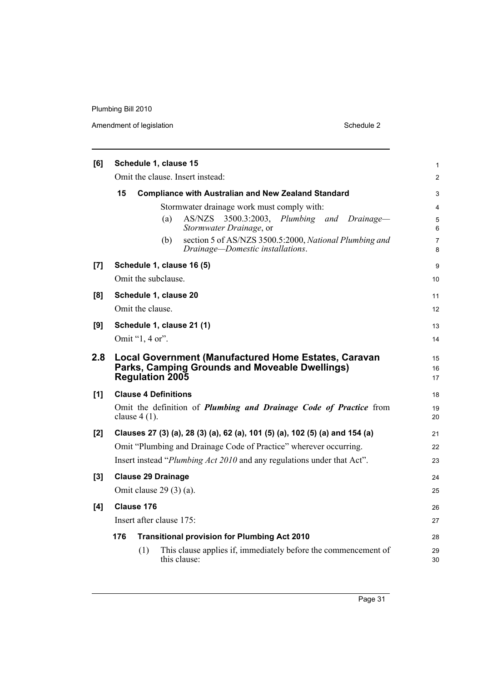Amendment of legislation Schedule 2

| [6] |     | Schedule 1, clause 15       |     |                                                                                                               | 1              |
|-----|-----|-----------------------------|-----|---------------------------------------------------------------------------------------------------------------|----------------|
|     |     |                             |     | Omit the clause. Insert instead:                                                                              | $\overline{c}$ |
|     | 15  |                             |     | <b>Compliance with Australian and New Zealand Standard</b>                                                    | 3              |
|     |     |                             |     | Stormwater drainage work must comply with:                                                                    | 4              |
|     |     |                             | (a) | 3500.3:2003,<br>Plumbing and Drainage-<br>AS/NZS<br>Stormwater Drainage, or                                   | 5<br>6         |
|     |     |                             | (b) | section 5 of AS/NZS 3500.5:2000, National Plumbing and<br>Drainage-Domestic installations.                    | 7<br>8         |
| [7] |     |                             |     | Schedule 1, clause 16 (5)                                                                                     | 9              |
|     |     | Omit the subclause.         |     |                                                                                                               | 10             |
| [8] |     | Schedule 1, clause 20       |     |                                                                                                               | 11             |
|     |     | Omit the clause.            |     |                                                                                                               | 12             |
| [9] |     |                             |     | Schedule 1, clause 21 (1)                                                                                     | 13             |
|     |     | Omit "1, 4 or".             |     |                                                                                                               | 14             |
| 2.8 |     | <b>Regulation 2005</b>      |     | <b>Local Government (Manufactured Home Estates, Caravan</b><br>Parks, Camping Grounds and Moveable Dwellings) | 15<br>16<br>17 |
| [1] |     | <b>Clause 4 Definitions</b> |     |                                                                                                               | 18             |
|     |     | clause $4(1)$ .             |     | Omit the definition of <i>Plumbing and Drainage Code of Practice</i> from                                     | 19<br>20       |
| [2] |     |                             |     | Clauses 27 (3) (a), 28 (3) (a), 62 (a), 101 (5) (a), 102 (5) (a) and 154 (a)                                  | 21             |
|     |     |                             |     | Omit "Plumbing and Drainage Code of Practice" wherever occurring.                                             | 22             |
|     |     |                             |     | Insert instead " <i>Plumbing Act 2010</i> and any regulations under that Act".                                | 23             |
| [3] |     | <b>Clause 29 Drainage</b>   |     |                                                                                                               | 24             |
|     |     | Omit clause $29(3)(a)$ .    |     |                                                                                                               | 25             |
| [4] |     | Clause 176                  |     |                                                                                                               | 26             |
|     |     | Insert after clause 175:    |     |                                                                                                               | 27             |
|     | 176 |                             |     | <b>Transitional provision for Plumbing Act 2010</b>                                                           | 28             |
|     |     | (1)                         |     | This clause applies if, immediately before the commencement of<br>this clause:                                | 29<br>30       |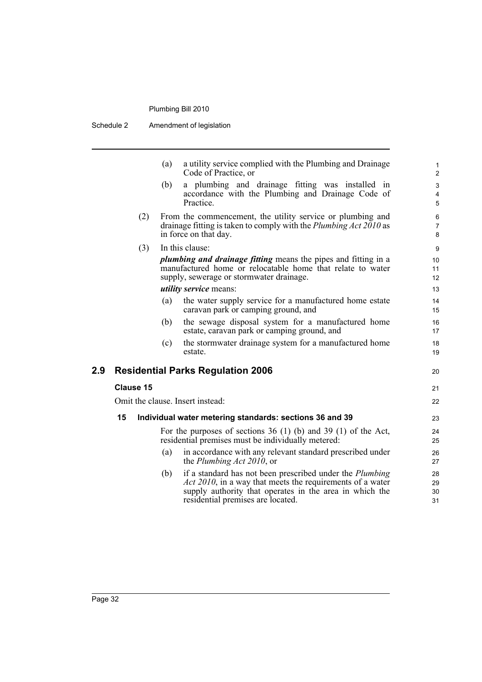Schedule 2 Amendment of legislation

|     | a utility service complied with the Plumbing and Drainage<br>(a)<br>Code of Practice, or                                                                                                                                            |
|-----|-------------------------------------------------------------------------------------------------------------------------------------------------------------------------------------------------------------------------------------|
|     | a plumbing and drainage fitting was installed in<br>(b)<br>accordance with the Plumbing and Drainage Code of<br>Practice.                                                                                                           |
| (2) | From the commencement, the utility service or plumbing and<br>drainage fitting is taken to comply with the <i>Plumbing Act 2010</i> as<br>in force on that day.                                                                     |
| (3) | In this clause:<br><i>plumbing and drainage fitting</i> means the pipes and fitting in a<br>manufactured home or relocatable home that relate to water<br>supply, sewerage or stormwater drainage.<br><i>utility service</i> means: |
|     | (a) the water supply service for a manufactured home estate                                                                                                                                                                         |

(a) the water supply service for a manufactured home estate caravan park or camping ground, and

20

21 22

- (b) the sewage disposal system for a manufactured home estate, caravan park or camping ground, and
- (c) the stormwater drainage system for a manufactured home estate.

### **2.9 Residential Parks Regulation 2006**

#### **Clause 15**

Omit the clause. Insert instead:

#### **15 Individual water metering standards: sections 36 and 39**

For the purposes of sections 36 (1) (b) and 39 (1) of the Act, residential premises must be individually metered:

- (a) in accordance with any relevant standard prescribed under the *Plumbing Act 2010*, or
- (b) if a standard has not been prescribed under the *Plumbing Act 2010*, in a way that meets the requirements of a water supply authority that operates in the area in which the residential premises are located.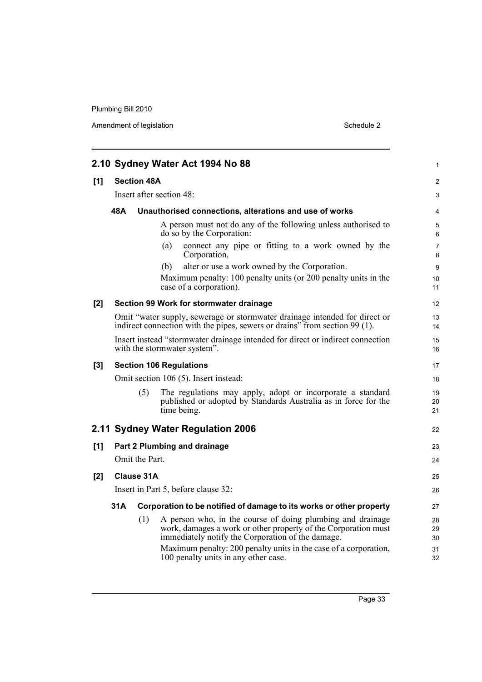Amendment of legislation Schedule 2

|     |     |                    | 2.10 Sydney Water Act 1994 No 88                                                                                                                                                  | $\mathbf{1}$        |
|-----|-----|--------------------|-----------------------------------------------------------------------------------------------------------------------------------------------------------------------------------|---------------------|
| [1] |     | <b>Section 48A</b> |                                                                                                                                                                                   | 2                   |
|     |     |                    | Insert after section 48:                                                                                                                                                          | 3                   |
|     | 48A |                    | Unauthorised connections, alterations and use of works                                                                                                                            | 4                   |
|     |     |                    | A person must not do any of the following unless authorised to<br>do so by the Corporation:                                                                                       | 5<br>6              |
|     |     |                    | connect any pipe or fitting to a work owned by the<br>(a)<br>Corporation,                                                                                                         | $\overline{7}$<br>8 |
|     |     |                    | alter or use a work owned by the Corporation.<br>(b)                                                                                                                              | 9                   |
|     |     |                    | Maximum penalty: 100 penalty units (or 200 penalty units in the<br>case of a corporation).                                                                                        | 10<br>11            |
| [2] |     |                    | Section 99 Work for stormwater drainage                                                                                                                                           | 12                  |
|     |     |                    | Omit "water supply, sewerage or stormwater drainage intended for direct or<br>indirect connection with the pipes, sewers or drains" from section 99 (1).                          | 13<br>14            |
|     |     |                    | Insert instead "stormwater drainage intended for direct or indirect connection<br>with the stormwater system".                                                                    | 15<br>16            |
| [3] |     |                    | <b>Section 106 Regulations</b>                                                                                                                                                    | 17                  |
|     |     |                    | Omit section 106 (5). Insert instead:                                                                                                                                             | 18                  |
|     |     | (5)                | The regulations may apply, adopt or incorporate a standard<br>published or adopted by Standards Australia as in force for the<br>time being.                                      | 19<br>20<br>21      |
|     |     |                    | 2.11 Sydney Water Regulation 2006                                                                                                                                                 | 22                  |
| [1] |     |                    | Part 2 Plumbing and drainage                                                                                                                                                      | 23                  |
|     |     | Omit the Part.     |                                                                                                                                                                                   | 24                  |
| [2] |     | <b>Clause 31A</b>  |                                                                                                                                                                                   | 25                  |
|     |     |                    | Insert in Part 5, before clause 32:                                                                                                                                               | 26                  |
|     | 31A |                    | Corporation to be notified of damage to its works or other property                                                                                                               | 27                  |
|     |     | (1)                | A person who, in the course of doing plumbing and drainage<br>work, damages a work or other property of the Corporation must<br>immediately notify the Corporation of the damage. | 28<br>29<br>30      |
|     |     |                    | Maximum penalty: 200 penalty units in the case of a corporation,<br>100 penalty units in any other case.                                                                          | 31<br>32            |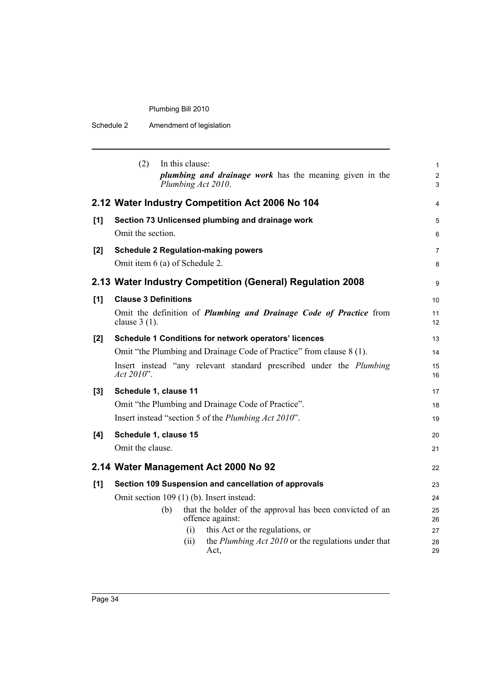| Schedule 2 | Amendment of legislation |
|------------|--------------------------|
|------------|--------------------------|

|       | (2)                            |     | In this clause: | <i>plumbing and drainage work</i> has the meaning given in the<br>Plumbing Act 2010. | $\mathbf{1}$<br>$\overline{2}$<br>3 |
|-------|--------------------------------|-----|-----------------|--------------------------------------------------------------------------------------|-------------------------------------|
|       |                                |     |                 | 2.12 Water Industry Competition Act 2006 No 104                                      | 4                                   |
| [1]   |                                |     |                 | Section 73 Unlicensed plumbing and drainage work                                     | 5                                   |
|       | Omit the section.              |     |                 |                                                                                      | 6                                   |
| [2]   |                                |     |                 | <b>Schedule 2 Regulation-making powers</b>                                           | $\overline{7}$                      |
|       | Omit item 6 (a) of Schedule 2. |     |                 |                                                                                      | 8                                   |
|       |                                |     |                 | 2.13 Water Industry Competition (General) Regulation 2008                            | 9                                   |
| [1]   | <b>Clause 3 Definitions</b>    |     |                 |                                                                                      | 10                                  |
|       | clause $3(1)$ .                |     |                 | Omit the definition of <i>Plumbing and Drainage Code of Practice</i> from            | 11<br>$12 \overline{ }$             |
| [2]   |                                |     |                 | Schedule 1 Conditions for network operators' licences                                | 13                                  |
|       |                                |     |                 | Omit "the Plumbing and Drainage Code of Practice" from clause 8 (1).                 | 14                                  |
|       | Act 2010".                     |     |                 | Insert instead "any relevant standard prescribed under the <i>Plumbing</i>           | 15<br>16                            |
| $[3]$ | Schedule 1, clause 11          |     |                 |                                                                                      | 17                                  |
|       |                                |     |                 | Omit "the Plumbing and Drainage Code of Practice".                                   | 18                                  |
|       |                                |     |                 | Insert instead "section 5 of the Plumbing Act 2010".                                 | 19                                  |
| [4]   | Schedule 1, clause 15          |     |                 |                                                                                      | 20                                  |
|       | Omit the clause.               |     |                 |                                                                                      | 21                                  |
|       |                                |     |                 | 2.14 Water Management Act 2000 No 92                                                 | 22                                  |
| [1]   |                                |     |                 | Section 109 Suspension and cancellation of approvals                                 | 23                                  |
|       |                                |     |                 | Omit section 109 (1) (b). Insert instead:                                            | 24                                  |
|       |                                | (b) |                 | that the holder of the approval has been convicted of an<br>offence against:         | 25<br>26                            |
|       |                                |     | (i)             | this Act or the regulations, or                                                      | 27                                  |
|       |                                |     | (i)             | the Plumbing Act 2010 or the regulations under that<br>Act,                          | 28<br>29                            |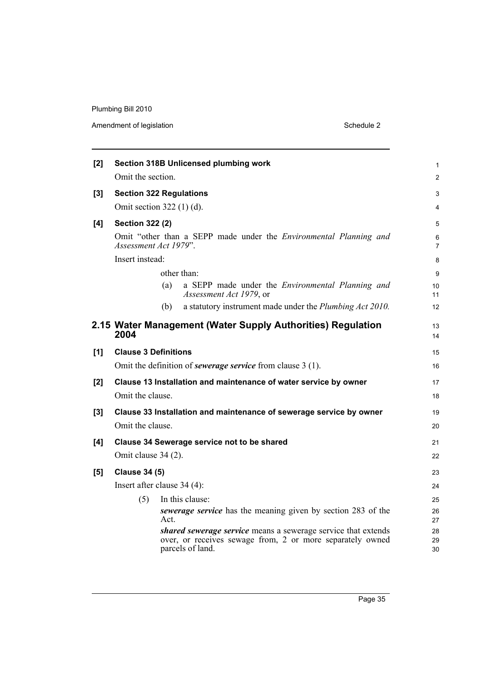Amendment of legislation Schedule 2

| [2] | Section 318B Unlicensed plumbing work                                                                                                          | 1              |
|-----|------------------------------------------------------------------------------------------------------------------------------------------------|----------------|
|     | Omit the section.                                                                                                                              | $\overline{c}$ |
| [3] | <b>Section 322 Regulations</b>                                                                                                                 | 3              |
|     | Omit section $322(1)(d)$ .                                                                                                                     | 4              |
| [4] | <b>Section 322 (2)</b>                                                                                                                         | 5              |
|     | Omit "other than a SEPP made under the Environmental Planning and<br>Assessment Act 1979".                                                     | 6<br>7         |
|     | Insert instead:                                                                                                                                | 8              |
|     | other than:                                                                                                                                    | 9              |
|     | a SEPP made under the <i>Environmental Planning and</i><br>(a)<br>Assessment Act 1979, or                                                      | 10<br>11       |
|     | a statutory instrument made under the <i>Plumbing Act 2010</i> .<br>(b)                                                                        | 12             |
|     | 2.15 Water Management (Water Supply Authorities) Regulation<br>2004                                                                            | 13<br>14       |
| [1] | <b>Clause 3 Definitions</b>                                                                                                                    | 15             |
|     | Omit the definition of <i>sewerage service</i> from clause 3 (1).                                                                              | 16             |
| [2] | Clause 13 Installation and maintenance of water service by owner                                                                               | 17             |
|     | Omit the clause.                                                                                                                               | 18             |
| [3] | Clause 33 Installation and maintenance of sewerage service by owner                                                                            | 19             |
|     | Omit the clause.                                                                                                                               | 20             |
| [4] | Clause 34 Sewerage service not to be shared                                                                                                    | 21             |
|     | Omit clause 34 (2).                                                                                                                            | 22             |
| [5] | <b>Clause 34 (5)</b>                                                                                                                           | 23             |
|     | Insert after clause $34(4)$ :                                                                                                                  | 24             |
|     | (5)<br>In this clause:                                                                                                                         | 25             |
|     | sewerage service has the meaning given by section 283 of the<br>Act.                                                                           | 26<br>27       |
|     | shared sewerage service means a sewerage service that extends<br>over, or receives sewage from, 2 or more separately owned<br>parcels of land. | 28<br>29<br>30 |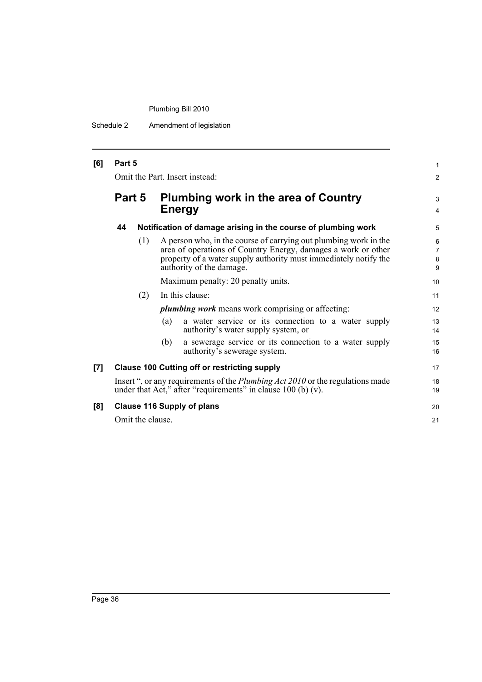Schedule 2 Amendment of legislation

| [6] | Part 5<br>Omit the Part. Insert instead: |                  |                                                                                                                                                                                                                                   | 1<br>$\overline{c}$ |
|-----|------------------------------------------|------------------|-----------------------------------------------------------------------------------------------------------------------------------------------------------------------------------------------------------------------------------|---------------------|
|     | Part 5                                   |                  | Plumbing work in the area of Country<br><b>Energy</b>                                                                                                                                                                             |                     |
|     | 44                                       |                  | Notification of damage arising in the course of plumbing work                                                                                                                                                                     | 5                   |
|     |                                          | (1)              | A person who, in the course of carrying out plumbing work in the<br>area of operations of Country Energy, damages a work or other<br>property of a water supply authority must immediately notify the<br>authority of the damage. | 6<br>7<br>8<br>9    |
|     |                                          |                  | Maximum penalty: 20 penalty units.                                                                                                                                                                                                | 10                  |
|     |                                          | (2)              | In this clause:                                                                                                                                                                                                                   | 11                  |
|     |                                          |                  | <i>plumbing work</i> means work comprising or affecting:                                                                                                                                                                          | 12                  |
|     |                                          |                  | a water service or its connection to a water supply<br>(a)<br>authority's water supply system, or                                                                                                                                 | 13<br>14            |
|     |                                          |                  | a sewerage service or its connection to a water supply<br>(b)<br>authority's sewerage system.                                                                                                                                     | 15<br>16            |
| [7] |                                          |                  | <b>Clause 100 Cutting off or restricting supply</b>                                                                                                                                                                               | 17                  |
|     |                                          |                  | Insert ", or any requirements of the <i>Plumbing Act 2010</i> or the regulations made<br>under that Act," after "requirements" in clause $100$ (b) (v).                                                                           | 18<br>19            |
| [8] | <b>Clause 116 Supply of plans</b>        |                  |                                                                                                                                                                                                                                   | 20                  |
|     |                                          | Omit the clause. |                                                                                                                                                                                                                                   | 21                  |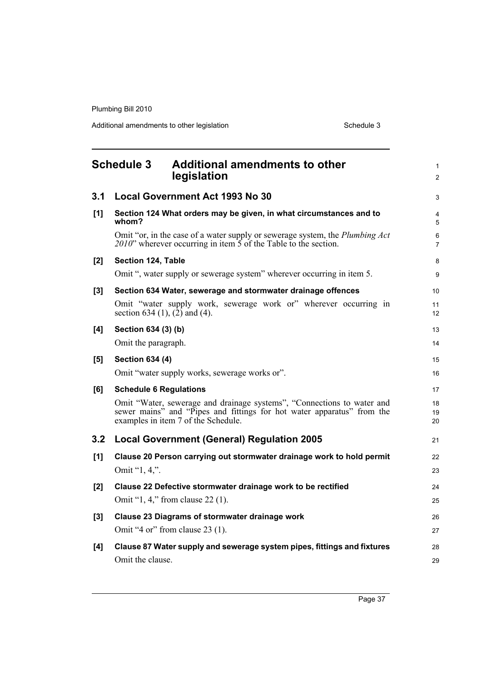Additional amendments to other legislation Schedule 3

<span id="page-46-0"></span>

|       | <b>Schedule 3</b><br><b>Additional amendments to other</b><br>legislation                                                                                                               | $\mathbf{1}$<br>$\overline{2}$ |
|-------|-----------------------------------------------------------------------------------------------------------------------------------------------------------------------------------------|--------------------------------|
| 3.1   | <b>Local Government Act 1993 No 30</b>                                                                                                                                                  | 3                              |
| [1]   | Section 124 What orders may be given, in what circumstances and to<br>whom?                                                                                                             | $\overline{\mathbf{4}}$<br>5   |
|       | Omit "or, in the case of a water supply or sewerage system, the Plumbing Act<br>2010" wherever occurring in item $\overline{5}$ of the Table to the section.                            | 6<br>7                         |
| $[2]$ | Section 124, Table                                                                                                                                                                      | 8                              |
|       | Omit ", water supply or sewerage system" wherever occurring in item 5.                                                                                                                  | 9                              |
| [3]   | Section 634 Water, sewerage and stormwater drainage offences                                                                                                                            | 10                             |
|       | Omit "water supply work, sewerage work or" wherever occurring in<br>section 634 (1), $(2)$ and (4).                                                                                     | 11<br>12                       |
| [4]   | Section 634 (3) (b)                                                                                                                                                                     |                                |
|       | Omit the paragraph.                                                                                                                                                                     | 14                             |
| [5]   | <b>Section 634 (4)</b>                                                                                                                                                                  | 15                             |
|       | Omit "water supply works, sewerage works or".                                                                                                                                           | 16                             |
| [6]   | <b>Schedule 6 Regulations</b>                                                                                                                                                           | 17                             |
|       | Omit "Water, sewerage and drainage systems", "Connections to water and<br>sewer mains" and "Pipes and fittings for hot water apparatus" from the<br>examples in item 7 of the Schedule. | 18<br>19<br>20                 |
| 3.2   | <b>Local Government (General) Regulation 2005</b>                                                                                                                                       | 21                             |
| [1]   | Clause 20 Person carrying out stormwater drainage work to hold permit                                                                                                                   | 22                             |
|       | Omit "1, 4,".                                                                                                                                                                           | 23                             |
| [2]   | Clause 22 Defective stormwater drainage work to be rectified                                                                                                                            | 24                             |
|       | Omit "1, 4," from clause 22 (1).                                                                                                                                                        | 25                             |
| [3]   | Clause 23 Diagrams of stormwater drainage work                                                                                                                                          | 26                             |
|       | Omit "4 or" from clause 23 (1).                                                                                                                                                         | 27                             |
| [4]   | Clause 87 Water supply and sewerage system pipes, fittings and fixtures                                                                                                                 | 28                             |
|       | Omit the clause.                                                                                                                                                                        | 29                             |
|       |                                                                                                                                                                                         |                                |

Page 37